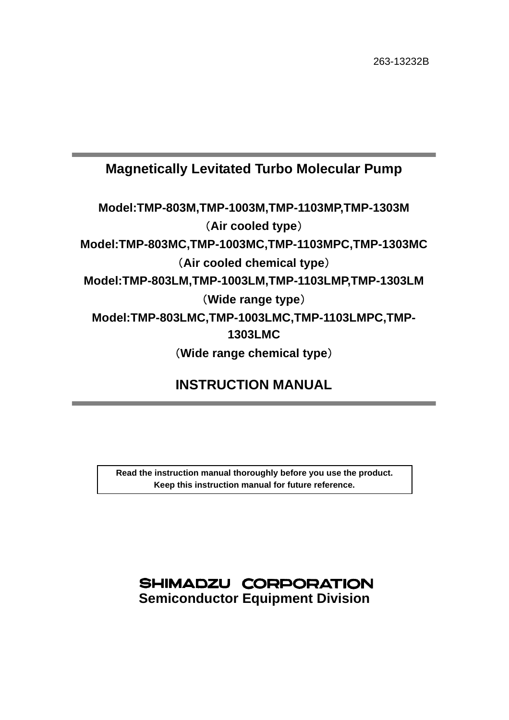#### **Magnetically Levitated Turbo Molecular Pump**

**Model:TMP-803M,TMP-1003M,TMP-1103MP,TMP-1303M** (**Air cooled type**) **Model:TMP-803MC,TMP-1003MC,TMP-1103MPC,TMP-1303MC** (**Air cooled chemical type**) **Model:TMP-803LM,TMP-1003LM,TMP-1103LMP,TMP-1303LM** (**Wide range type**) **Model:TMP-803LMC,TMP-1003LMC,TMP-1103LMPC,TMP-1303LMC** (**Wide range chemical type**)

#### **INSTRUCTION MANUAL**

**Read the instruction manual thoroughly before you use the product. Keep this instruction manual for future reference.**

#### SHIMADZU CORPORATION **Semiconductor Equipment Division**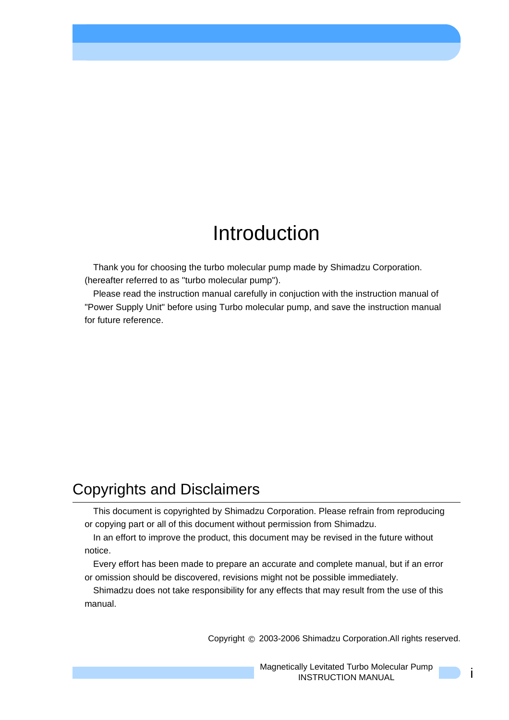# Introduction

Thank you for choosing the turbo molecular pump made by Shimadzu Corporation. (hereafter referred to as "turbo molecular pump").

Please read the instruction manual carefully in conjuction with the instruction manual of "Power Supply Unit" before using Turbo molecular pump, and save the instruction manual for future reference.

### Copyrights and Disclaimers

This document is copyrighted by Shimadzu Corporation. Please refrain from reproducing or copying part or all of this document without permission from Shimadzu.

In an effort to improve the product, this document may be revised in the future without notice.

Every effort has been made to prepare an accurate and complete manual, but if an error or omission should be discovered, revisions might not be possible immediately.

Shimadzu does not take responsibility for any effects that may result from the use of this manual.

Copyright © 2003-2006 Shimadzu Corporation.All rights reserved.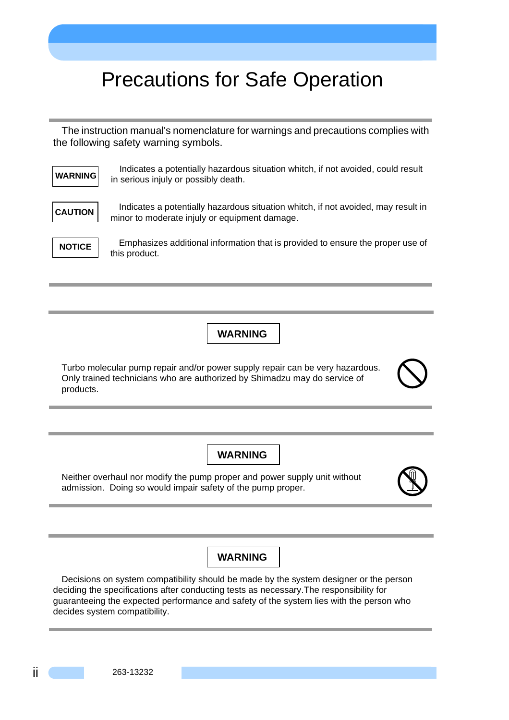# Precautions for Safe Operation

The instruction manual's nomenclature for warnings and precautions complies with the following safety warning symbols.



Indicates a potentially hazardous situation whitch, if not avoided, could result in serious injuly or possibly death.



Indicates a potentially hazardous situation whitch, if not avoided, may result in minor to moderate injuly or equipment damage.

**NOTICE**

Emphasizes additional information that is provided to ensure the proper use of this product.

**WARNING**

Turbo molecular pump repair and/or power supply repair can be very hazardous. Only trained technicians who are authorized by Shimadzu may do service of products.



**WARNING**

Neither overhaul nor modify the pump proper and power supply unit without admission. Doing so would impair safety of the pump proper.



**WARNING**

Decisions on system compatibility should be made by the system designer or the person deciding the specifications after conducting tests as necessary.The responsibility for guaranteeing the expected performance and safety of the system lies with the person who decides system compatibility.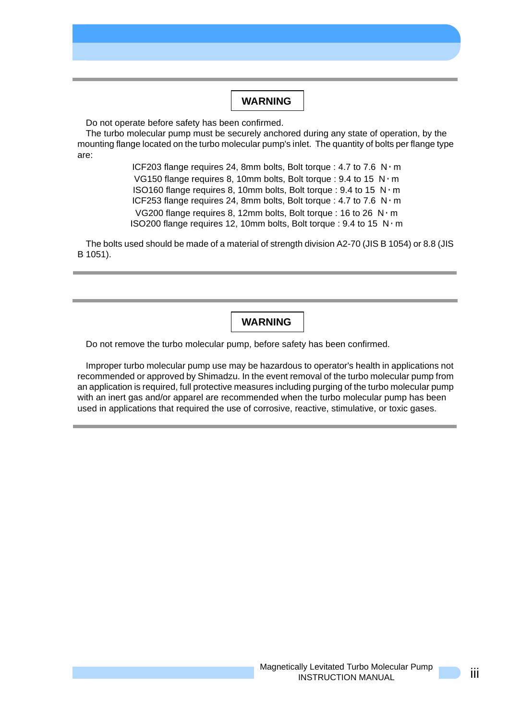#### **WARNING**

Do not operate before safety has been confirmed.

The turbo molecular pump must be securely anchored during any state of operation, by the mounting flange located on the turbo molecular pump's inlet. The quantity of bolts per flange type are:

> ICF203 flange requires 24, 8mm bolts, Bolt torque : 4.7 to 7.6 N・m VG150 flange requires 8, 10mm bolts, Bolt torque : 9.4 to 15 N・m ISO160 flange requires 8, 10mm bolts, Bolt torque : 9.4 to 15 N・m ICF253 flange requires 24, 8mm bolts, Bolt torque : 4.7 to 7.6 N・m VG200 flange requires 8, 12mm bolts, Bolt torque : 16 to 26 N・m ISO200 flange requires 12, 10mm bolts, Bolt torque : 9.4 to 15 N・m

The bolts used should be made of a material of strength division A2-70 (JIS B 1054) or 8.8 (JIS B 1051).

#### **WARNING**

Do not remove the turbo molecular pump, before safety has been confirmed.

Improper turbo molecular pump use may be hazardous to operator's health in applications not recommended or approved by Shimadzu. In the event removal of the turbo molecular pump from an application is required, full protective measures including purging of the turbo molecular pump with an inert gas and/or apparel are recommended when the turbo molecular pump has been used in applications that required the use of corrosive, reactive, stimulative, or toxic gases.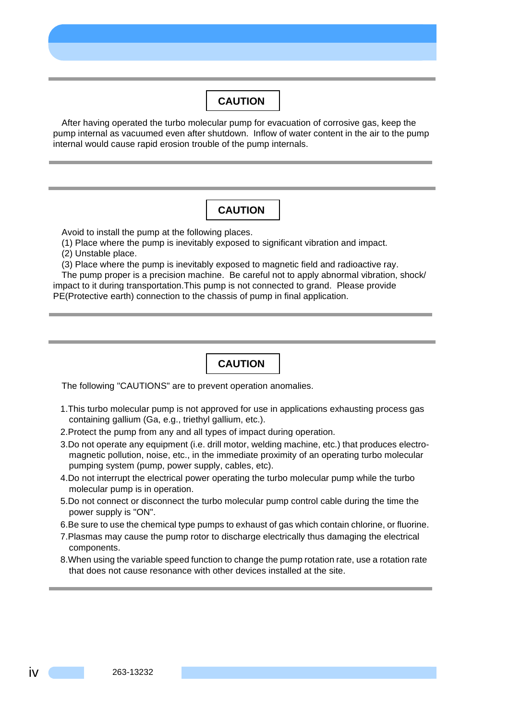#### **CAUTION**

After having operated the turbo molecular pump for evacuation of corrosive gas, keep the pump internal as vacuumed even after shutdown. Inflow of water content in the air to the pump internal would cause rapid erosion trouble of the pump internals.

#### **CAUTION**

Avoid to install the pump at the following places.

(1) Place where the pump is inevitably exposed to significant vibration and impact.

(2) Unstable place.

(3) Place where the pump is inevitably exposed to magnetic field and radioactive ray.

The pump proper is a precision machine. Be careful not to apply abnormal vibration, shock/ impact to it during transportation.This pump is not connected to grand. Please provide PE(Protective earth) connection to the chassis of pump in final application.



The following "CAUTIONS" are to prevent operation anomalies.

- 1.This turbo molecular pump is not approved for use in applications exhausting process gas containing gallium (Ga, e.g., triethyl gallium, etc.).
- 2.Protect the pump from any and all types of impact during operation.
- 3.Do not operate any equipment (i.e. drill motor, welding machine, etc.) that produces electromagnetic pollution, noise, etc., in the immediate proximity of an operating turbo molecular pumping system (pump, power supply, cables, etc).
- 4.Do not interrupt the electrical power operating the turbo molecular pump while the turbo molecular pump is in operation.
- 5.Do not connect or disconnect the turbo molecular pump control cable during the time the power supply is "ON".
- 6.Be sure to use the chemical type pumps to exhaust of gas which contain chlorine, or fluorine.
- 7.Plasmas may cause the pump rotor to discharge electrically thus damaging the electrical components.
- 8.When using the variable speed function to change the pump rotation rate, use a rotation rate that does not cause resonance with other devices installed at the site.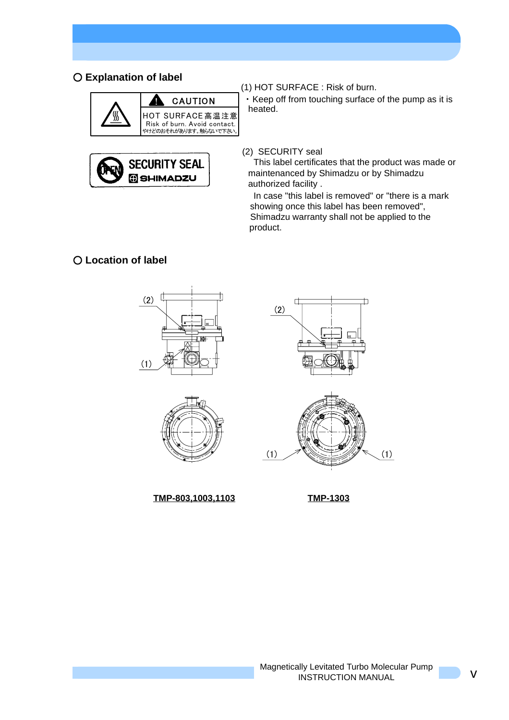#### ○ **Explanation of label**





#### (1) HOT SURFACE : Risk of burn.

・ Keep off from touching surface of the pump as it is

(2) SECURITY seal

**SECURITY SEAL** This label certificates that the product was made or **EXAMPLE CONTROLLER SHIMADZU** maintenanced by Shimadzu or by Shimadzu authorized facility .

> In case "this label is removed" or "there is a mark showing once this label has been removed", Shimadzu warranty shall not be applied to the product.

#### ○ **Location of label**



**TMP-803,1003,1103 TMP-1303**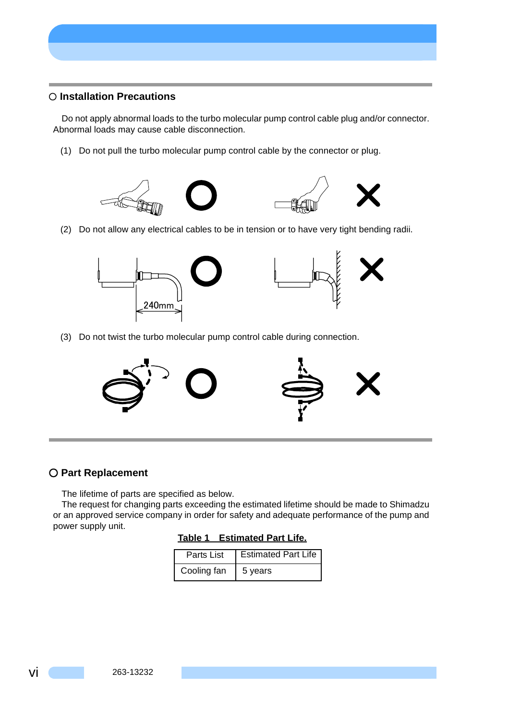#### ○ **Installation Precautions**

Do not apply abnormal loads to the turbo molecular pump control cable plug and/or connector. Abnormal loads may cause cable disconnection.

(1) Do not pull the turbo molecular pump control cable by the connector or plug.



(2) Do not allow any electrical cables to be in tension or to have very tight bending radii.



(3) Do not twist the turbo molecular pump control cable during connection.



#### ○ **Part Replacement**

The lifetime of parts are specified as below.

The request for changing parts exceeding the estimated lifetime should be made to Shimadzu or an approved service company in order for safety and adequate performance of the pump and power supply unit.

| <b>Table 1 Estimated Part Life.</b> |  |
|-------------------------------------|--|
|                                     |  |

| Parts List  | <b>Estimated Part Life</b> |
|-------------|----------------------------|
| Cooling fan | $\vert$ 5 years            |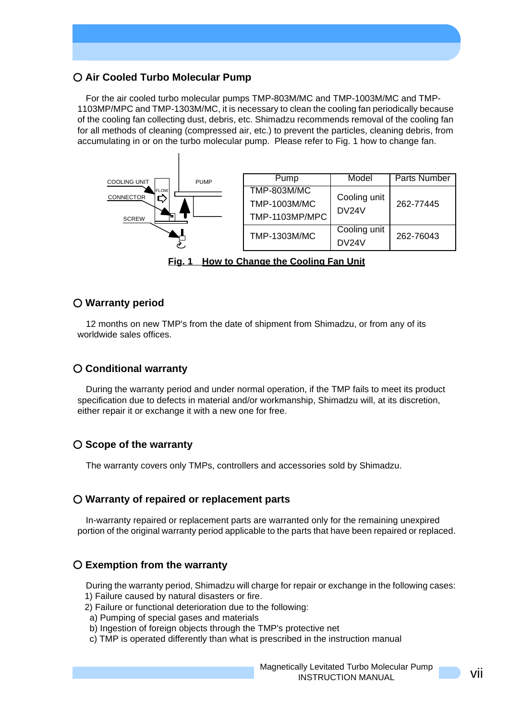#### ○ **Air Cooled Turbo Molecular Pump**

the contract of the contract of the contract of

For the air cooled turbo molecular pumps TMP-803M/MC and TMP-1003M/MC and TMP-1103MP/MPC and TMP-1303M/MC, it is necessary to clean the cooling fan periodically because of the cooling fan collecting dust, debris, etc. Shimadzu recommends removal of the cooling fan for all methods of cleaning (compressed air, etc.) to prevent the particles, cleaning debris, from accumulating in or on the turbo molecular pump. Please refer to Fig. 1 how to change fan.



**Fig. 1 How to Change the Cooling Fan Unit**

#### ○ **Warranty period**

12 months on new TMP's from the date of shipment from Shimadzu, or from any of its worldwide sales offices.

#### ○ **Conditional warranty**

During the warranty period and under normal operation, if the TMP fails to meet its product specification due to defects in material and/or workmanship, Shimadzu will, at its discretion, either repair it or exchange it with a new one for free.

#### ○ **Scope of the warranty**

The warranty covers only TMPs, controllers and accessories sold by Shimadzu.

#### ○ **Warranty of repaired or replacement parts**

In-warranty repaired or replacement parts are warranted only for the remaining unexpired portion of the original warranty period applicable to the parts that have been repaired or replaced.

#### ○ **Exemption from the warranty**

During the warranty period, Shimadzu will charge for repair or exchange in the following cases: 1) Failure caused by natural disasters or fire.

2) Failure or functional deterioration due to the following:

- a) Pumping of special gases and materials
- b) Ingestion of foreign objects through the TMP's protective net
- c) TMP is operated differently than what is prescribed in the instruction manual

Magnetically Levitated Turbo Molecular Pump<br>
VII MAGNETIC LON MANUAL INSTRUCTION MANUAL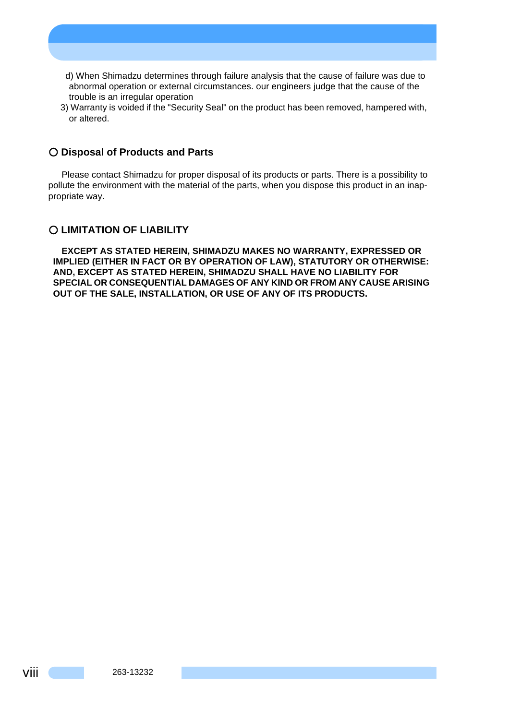- d) When Shimadzu determines through failure analysis that the cause of failure was due to abnormal operation or external circumstances. our engineers judge that the cause of the trouble is an irregular operation
- 3) Warranty is voided if the "Security Seal" on the product has been removed, hampered with, or altered.

#### ○ **Disposal of Products and Parts**

Please contact Shimadzu for proper disposal of its products or parts. There is a possibility to pollute the environment with the material of the parts, when you dispose this product in an inappropriate way.

#### ○ **LIMITATION OF LIABILITY**

**EXCEPT AS STATED HEREIN, SHIMADZU MAKES NO WARRANTY, EXPRESSED OR IMPLIED (EITHER IN FACT OR BY OPERATION OF LAW), STATUTORY OR OTHERWISE: AND, EXCEPT AS STATED HEREIN, SHIMADZU SHALL HAVE NO LIABILITY FOR SPECIAL OR CONSEQUENTIAL DAMAGES OF ANY KIND OR FROM ANY CAUSE ARISING OUT OF THE SALE, INSTALLATION, OR USE OF ANY OF ITS PRODUCTS.**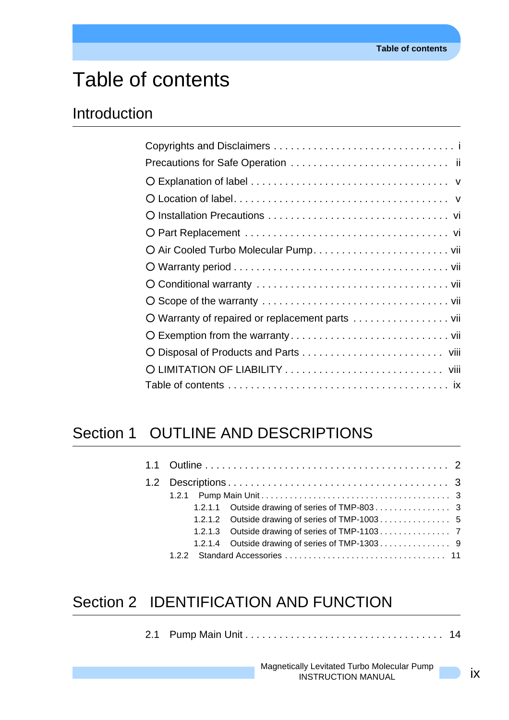# Table of contents

### Introduction

### Section 1 OUTLINE AND DESCRIPTIONS

### Section 2 IDENTIFICATION AND FUNCTION

|--|--|--|

Magnetically Levitated Turbo Molecular Pump<br>IX MAGNETIC MANULAL INSTRUCTION MANUAL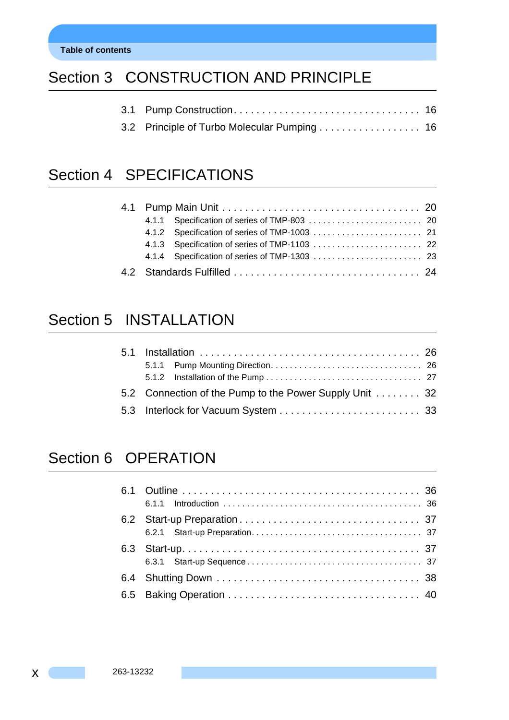### Section 3 CONSTRUCTION AND PRINCIPLE

| 3.2 Principle of Turbo Molecular Pumping 16 |  |
|---------------------------------------------|--|

### Section 4 SPECIFICATIONS

### Section 5 INSTALLATION

|  | 5.2 Connection of the Pump to the Power Supply Unit 32 |  |  |  |
|--|--------------------------------------------------------|--|--|--|
|  |                                                        |  |  |  |

### Section 6 OPERATION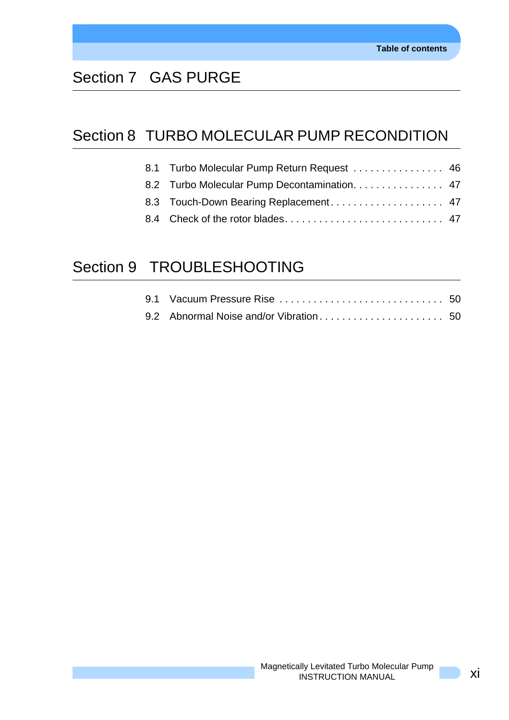### Section 7 GAS PURGE

### Section 8 TURBO MOLECULAR PUMP RECONDITION

| 8.1 Turbo Molecular Pump Return Request  46 |  |
|---------------------------------------------|--|
|                                             |  |
|                                             |  |
|                                             |  |

### Section 9 TROUBLESHOOTING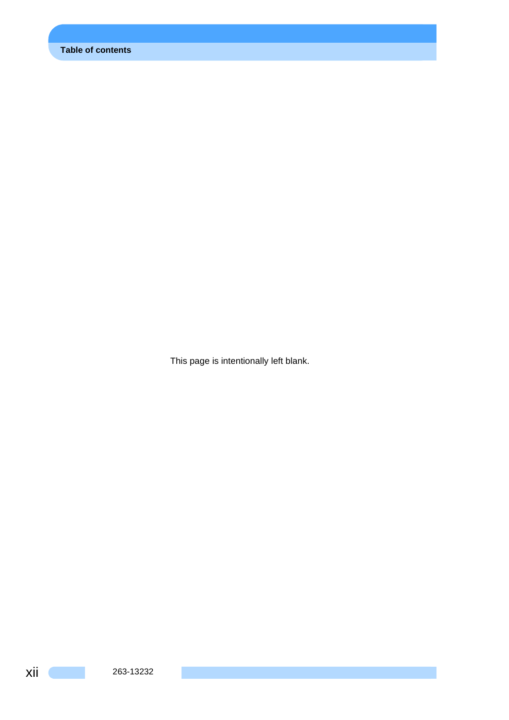This page is intentionally left blank.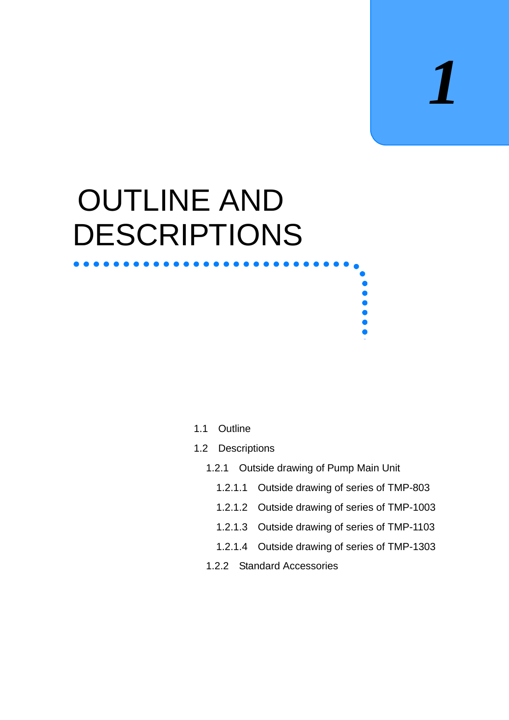# *1*

# **OUTLINE AND** DESCRIPTIONS

- 1.1 Outline
- 1.2 Descriptions
	- 1.2.1 Outside drawing of Pump Main Unit
		- 1.2.1.1 Outside drawing of series of TMP-803
		- 1.2.1.2 Outside drawing of series of TMP-1003
		- 1.2.1.3 Outside drawing of series of TMP-1103
		- 1.2.1.4 Outside drawing of series of TMP-1303
	- 1.2.2 Standard Accessories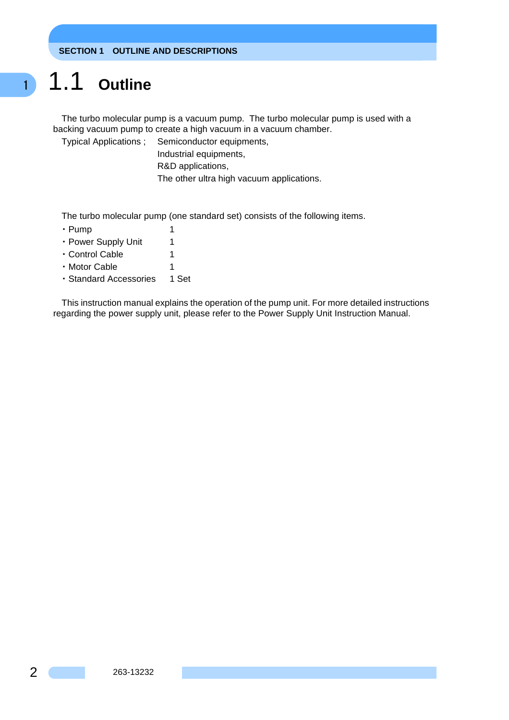# <sup>1</sup> 1.1 **Outline**

The turbo molecular pump is a vacuum pump. The turbo molecular pump is used with a backing vacuum pump to create a high vacuum in a vacuum chamber.

Typical Applications ; Semiconductor equipments, Industrial equipments, R&D applications, The other ultra high vacuum applications.

The turbo molecular pump (one standard set) consists of the following items.

- Pump 1
- Power Supply Unit 1
- Control Cable 1
- Motor Cable 1
- ・Standard Accessories 1 Set

This instruction manual explains the operation of the pump unit. For more detailed instructions regarding the power supply unit, please refer to the Power Supply Unit Instruction Manual.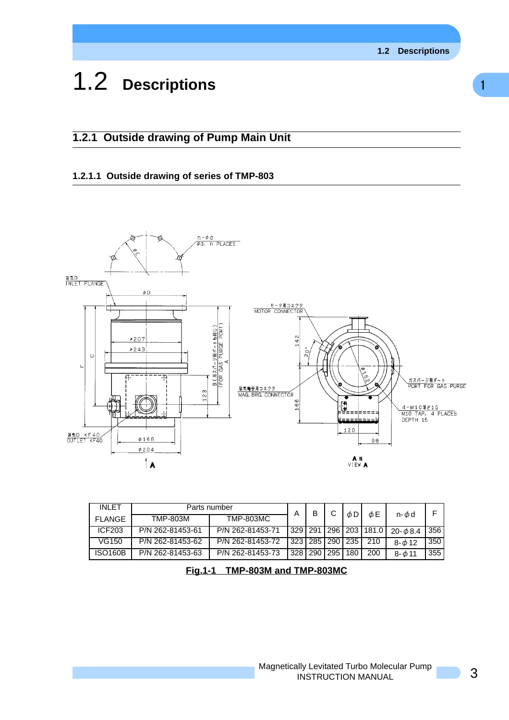# 1.2 **Descriptions** <sup>1</sup>

#### **1.2.1 Outside drawing of Pump Main Unit**

#### **1.2.1.1 Outside drawing of series of TMP-803**



| <b>INLET</b>   | Parts number     |                  |     | В           | ⌒   | φDΙ | $\phi$ E      | $n - \phi d$   |     |
|----------------|------------------|------------------|-----|-------------|-----|-----|---------------|----------------|-----|
| <b>FLANGE</b>  | <b>TMP-803M</b>  | <b>TMP-803MC</b> |     |             |     |     |               |                |     |
| <b>ICF203</b>  | P/N 262-81453-61 | P/N 262-81453-71 | 329 | 291         |     |     | 296 203 181.0 | 20- $\phi$ 8.4 | 356 |
| VG150          | P/N 262-81453-62 | P/N 262-81453-72 |     | 323 285 290 |     | 235 | 210           | $8 - \phi 12$  | 350 |
| <b>ISO160B</b> | P/N 262-81453-63 | P/N 262-81453-73 | 328 | 290         | 295 | 180 | 200           | $8 - \phi$ 11  | 355 |

| TMP-803M and TMP-803MC<br><b>Fig.1-1</b> |  |
|------------------------------------------|--|
|------------------------------------------|--|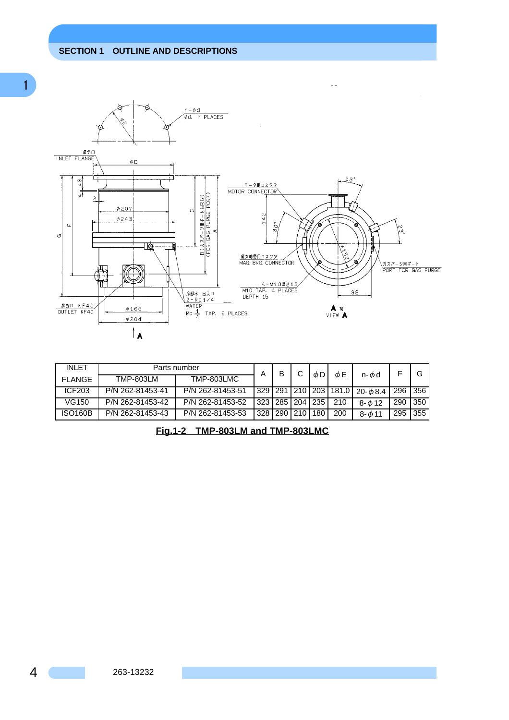#### **SECTION 1 OUTLINE AND DESCRIPTIONS**



| <b>INLET</b>   |                  | Parts number     |         |         |     |          |       |                |     |     |  |
|----------------|------------------|------------------|---------|---------|-----|----------|-------|----------------|-----|-----|--|
| <b>FLANGE</b>  | <b>TMP-803LM</b> | TMP-803LMC       |         |         |     | $\phi$ D | φE    | $n - \phi d$   |     |     |  |
| <b>ICF203</b>  | P/N 262-81453-41 | P/N 262-81453-51 | 329 291 |         |     | 210 203  | 181.0 | 20- $\phi$ 8.4 | 296 | 356 |  |
| <b>VG150</b>   | P/N 262-81453-42 | P/N 262-81453-52 |         | 323 285 | 204 | 1235     | 210   | $8 - \phi 12$  | 290 | 350 |  |
| <b>ISO160B</b> | P/N 262-81453-43 | P/N 262-81453-53 |         | 328 290 | 210 | 180      | 200   | $8 - \phi$ 11  | 295 | 355 |  |

1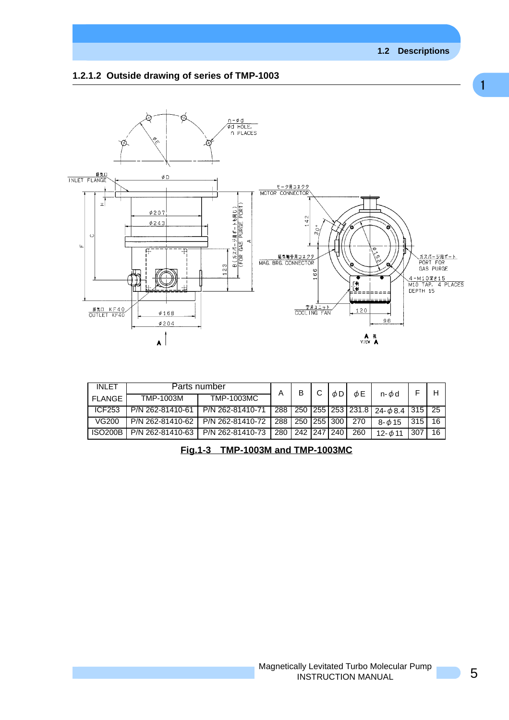#### **1.2 Descriptions**

# <sup>1</sup> **1.2.1.2 Outside drawing of series of TMP-1003**



| <b>INLET</b>      |                  | Parts number      | Α   | B   | C    |           | $\phi$ E |                                    |                           | Н    |
|-------------------|------------------|-------------------|-----|-----|------|-----------|----------|------------------------------------|---------------------------|------|
| <b>FLANGE</b>     | <b>TMP-1003M</b> | <b>TMP-1003MC</b> |     |     |      | $\phi$ DI |          | $n - \phi d$                       |                           |      |
| <b>ICF253</b>     | P/N 262-81410-61 | P/N 262-81410-71  | 288 |     |      |           |          | $250$ 255 253 231.8 24- $\phi$ 8.4 | $1315 \mid \overline{25}$ |      |
| VG <sub>200</sub> | P/N 262-81410-62 | P/N 262-81410-72  | 288 | 250 |      | 255 300   | 270      | $8 - \phi$ 15                      | 315                       | - 16 |
| <b>ISO200B</b>    | P/N 262-81410-63 | P/N 262-81410-73  | 280 | 242 | 1247 | 240       | 260      | $12 - 611$                         | 307                       | 16   |

**Fig.1-3 TMP-1003M and TMP-1003MC**

Magnetically Levitated Turbo Molecular Pump<br>15 MSTRUCTION MANUAL INSTRUCTION MANUAL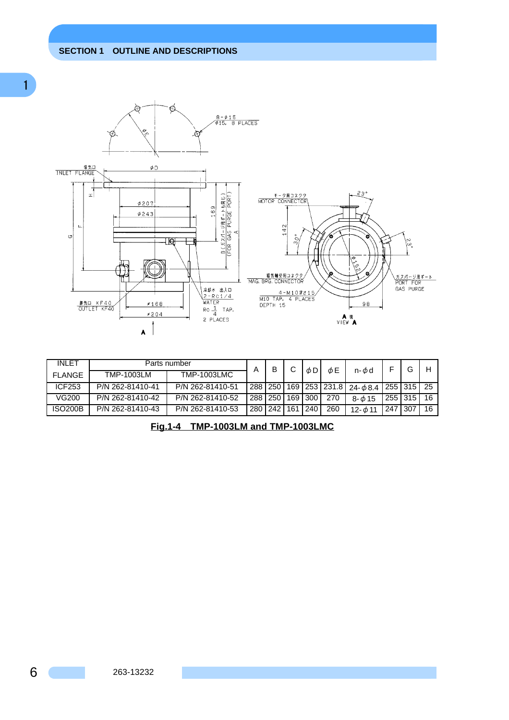#### **SECTION 1 OUTLINE AND DESCRIPTIONS**



| <b>INLET</b>      |                   | Parts number       |       | B                |         | φD  | φE            | $n - \phi d$    |     |         |    |
|-------------------|-------------------|--------------------|-------|------------------|---------|-----|---------------|-----------------|-----|---------|----|
| <b>FLANGE</b>     | <b>TMP-1003LM</b> | <b>TMP-1003LMC</b> |       |                  |         |     |               |                 |     |         |    |
| <b>ICF253</b>     | P/N 262-81410-41  | P/N 262-81410-51   | 288 L | 250 <sup>1</sup> |         |     | 169 253 231.8 | $24 - \phi 8.4$ |     | 255 315 |    |
| VG <sub>200</sub> | P/N 262-81410-42  | P/N 262-81410-52   | 288   | 250              | 169 300 |     | 270           | $8 - \phi$ 15   |     | 255 315 | 16 |
| <b>ISO200B</b>    | P/N 262-81410-43  | P/N 262-81410-53   | 280   | 242              | 161     | 240 | 260           | $12 - 611$      | 247 | 307     | 16 |

| Fig.1-4 TMP-1003LM and TMP-1003LMC |
|------------------------------------|
|------------------------------------|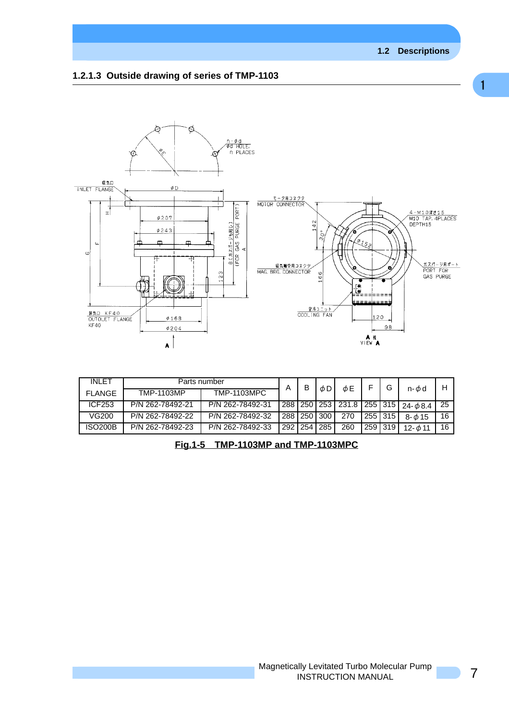**1.2 Descriptions**

# <sup>1</sup> **1.2.1.3 Outside drawing of series of TMP-1103**



| <b>INLET</b>   |                   | Parts number       |     | B   |       | φE    |         | G       |               |    |
|----------------|-------------------|--------------------|-----|-----|-------|-------|---------|---------|---------------|----|
| <b>FLANGE</b>  | <b>TMP-1103MP</b> | <b>TMP-1103MPC</b> |     |     |       |       |         |         | n-ød          |    |
| <b>ICF253</b>  | P/N 262-78492-21  | P/N 262-78492-31   | 288 | 250 | 253 l | 231.8 |         | 255 315 | $24 - d8.4$   | 25 |
| VG200          | P/N 262-78492-22  | P/N 262-78492-32   | 288 | 250 | 300   | 270   | 255 315 |         | $8 - \phi 15$ | 16 |
| <b>ISO200B</b> | P/N 262-78492-23  | P/N 262-78492-33   | 292 | 254 | 285   | 260   | 259     | 319     | 12- $\phi$ 11 | 16 |

**Fig.1-5 TMP-1103MP and TMP-1103MPC**

7 Magnetically Levitated Turbo Molecular Pump

INSTRUCTION MANUAL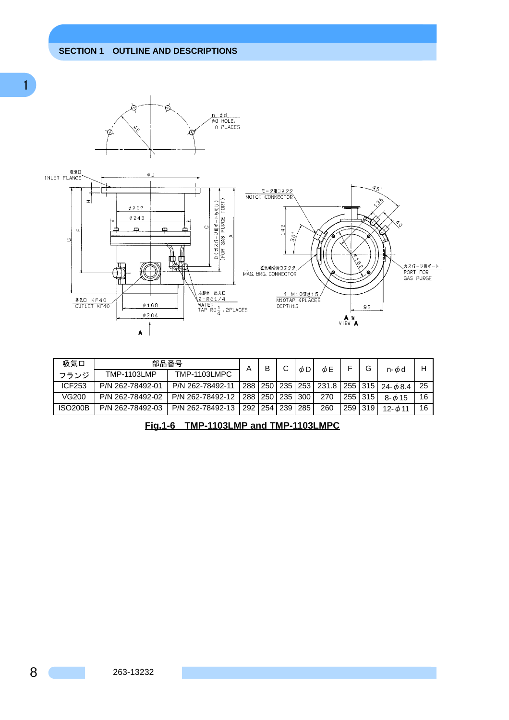#### **SECTION 1 OUTLINE AND DESCRIPTIONS**



| 吸気口            |                    | 部品番号                | Α     |     | С                | φD  | φE    | G       | $n - \phi d$   |    |
|----------------|--------------------|---------------------|-------|-----|------------------|-----|-------|---------|----------------|----|
| フランジ           | <b>TMP-1103LMP</b> | <b>TMP-1103LMPC</b> |       |     |                  |     |       |         |                |    |
| <b>ICF253</b>  | P/N 262-78492-01   | P/N 262-78492-11    | 288   |     | 250 235          | 253 | 231.8 | 255 315 | 24- $\phi$ 8.4 | 25 |
| VG200          | P/N 262-78492-02   | P/N 262-78492-12    | 2881. | 250 | 235 <sub>1</sub> | 300 | 270   | 255 315 | $8 - \phi 15$  | 16 |
| <b>ISO200B</b> | P/N 262-78492-03   | P/N 262-78492-13    | 292   | 254 | 239              | 285 | 260   | 259 319 | 12- $\phi$ 11  | 16 |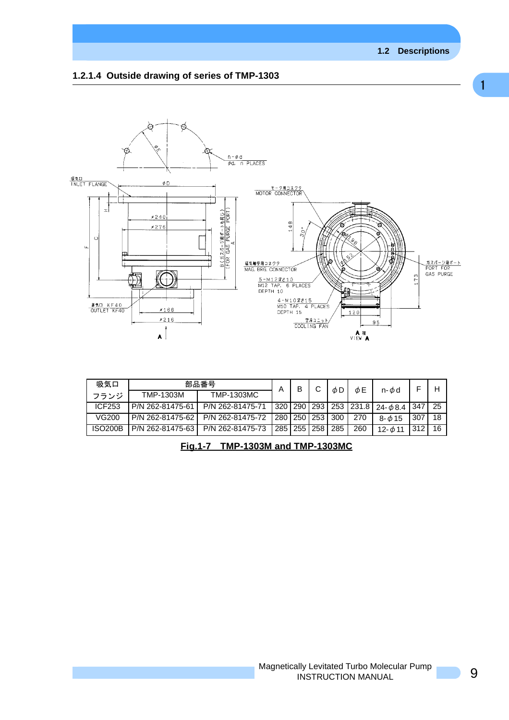**1.2 Descriptions**

# <sup>1</sup> **1.2.1.4 Outside drawing of series of TMP-1303**



| 吸気口            |                  | 部品番号              | Α | В           | C | $\phi$ D | φE  | $n - \phi d$                         |     |      |
|----------------|------------------|-------------------|---|-------------|---|----------|-----|--------------------------------------|-----|------|
| フランジ           | <b>TMP-1303M</b> | <b>TMP-1303MC</b> |   |             |   |          |     |                                      |     |      |
| <b>ICF253</b>  | P/N 262-81475-61 | P/N 262-81475-71  |   | 320 290     |   |          |     | $293$   253   231.8   24- $\phi$ 8.4 | 347 | - 25 |
| VG200          | P/N 262-81475-62 | P/N 262-81475-72  |   | 280 250 253 |   | 300      | 270 | $8 - \phi$ 15                        | 307 | 18   |
| <b>ISO200B</b> | P/N 262-81475-63 | P/N 262-81475-73  |   | 285 255 258 |   | 285      | 260 | $12 - 611$                           | 312 | 16   |

**Fig.1-7 TMP-1303M and TMP-1303MC**

Magnetically Levitated Turbo Molecular Pump<br>
INSTRITION MANITAL INSTRUCTION MANUAL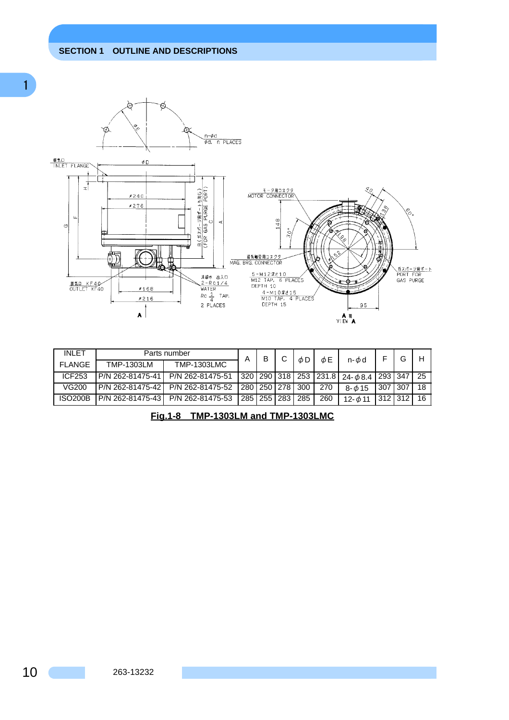#### **SECTION 1 OUTLINE AND DESCRIPTIONS**



| <b>INLET</b>      |                   | Parts number                      | Α |                       | φD  | φE  | $n - \phi d$                                                 |         |         | H  |
|-------------------|-------------------|-----------------------------------|---|-----------------------|-----|-----|--------------------------------------------------------------|---------|---------|----|
| <b>FLANGE</b>     | <b>TMP-1303LM</b> | <b>TMP-1303LMC</b>                |   |                       |     |     |                                                              |         |         |    |
| <b>ICF253</b>     | P/N 262-81475-41  | P/N 262-81475-51                  |   |                       |     |     | $320$   290   318   253   231.8   24- $\phi$ 8.4   293   347 |         |         | 25 |
| VG <sub>200</sub> |                   | P/N 262-81475-42 P/N 262-81475-52 |   | 280   250   278   300 |     | 270 | $8 - \phi$ 15                                                | 307 307 |         | 18 |
| <b>ISO200B</b>    | P/N 262-81475-43  | P/N 262-81475-53 1285 1255 1283 1 |   |                       | 285 | 260 | $12 - 611$                                                   |         | 312 312 | 16 |

| Fig.1-8 TMP-1303LM and TMP-1303LMC |  |
|------------------------------------|--|
|------------------------------------|--|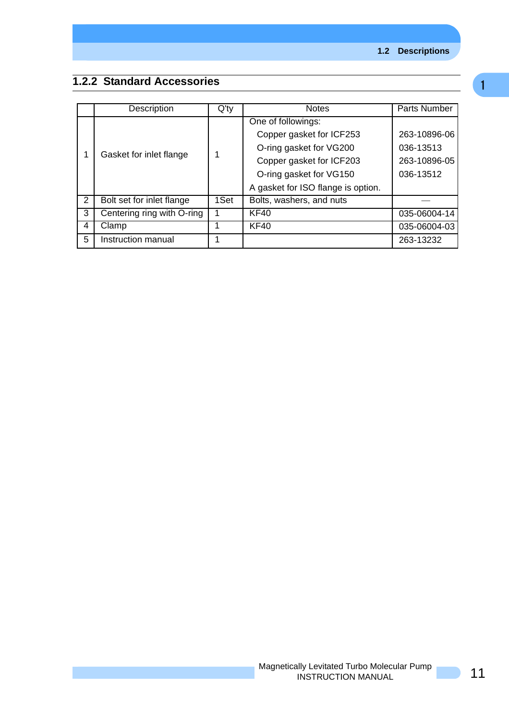## 1 **1.2.2 Standard Accessories**

|   | Description                | $Q'$ ty | <b>Notes</b>                       | Parts Number |
|---|----------------------------|---------|------------------------------------|--------------|
|   | Gasket for inlet flange    |         | One of followings:                 |              |
|   |                            |         | Copper gasket for ICF253           | 263-10896-06 |
|   |                            |         | O-ring gasket for VG200            | 036-13513    |
|   |                            |         | Copper gasket for ICF203           | 263-10896-05 |
|   |                            |         | O-ring gasket for VG150            | 036-13512    |
|   |                            |         | A gasket for ISO flange is option. |              |
| 2 | Bolt set for inlet flange  | 1Set    | Bolts, washers, and nuts           |              |
| 3 | Centering ring with O-ring |         | <b>KF40</b>                        | 035-06004-14 |
| 4 | Clamp                      |         | <b>KF40</b>                        | 035-06004-03 |
| 5 | Instruction manual         |         |                                    | 263-13232    |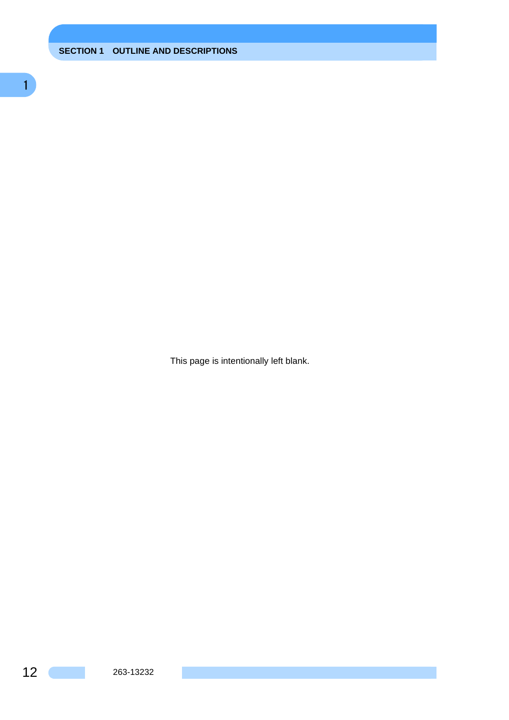#### **SECTION 1 OUTLINE AND DESCRIPTIONS**

This page is intentionally left blank.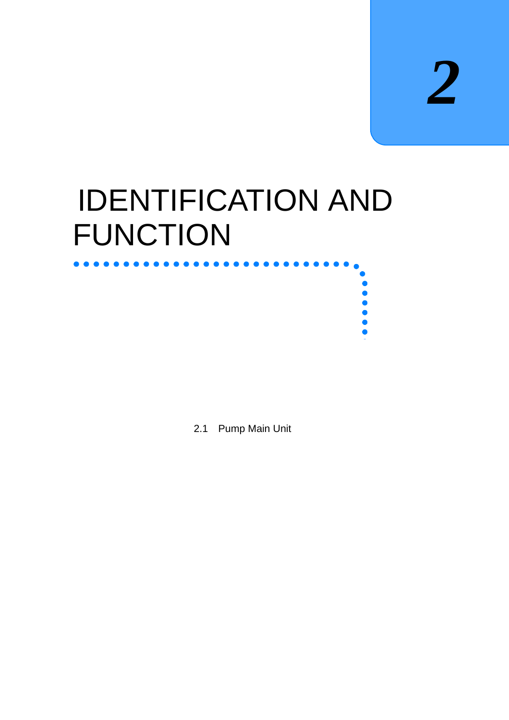*2*

-----<br>---

# 2IDENTIFICATION AND FUNCTION

2.1 Pump Main Unit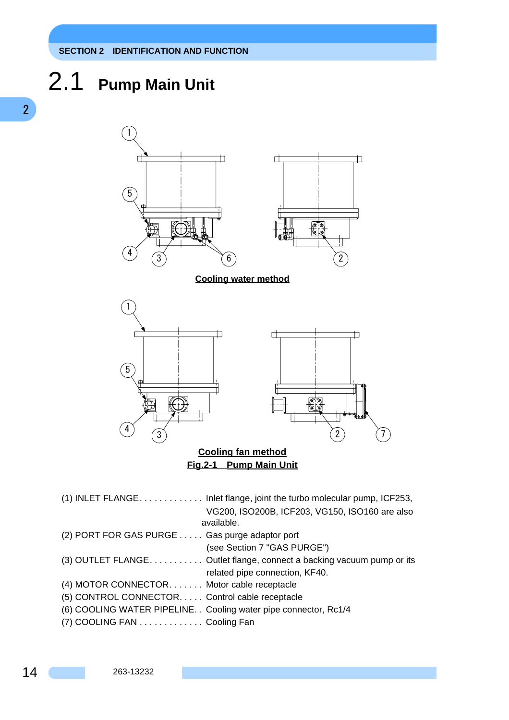



|                                                 | VG200, ISO200B, ICF203, VG150, ISO160 are also<br>available.           |
|-------------------------------------------------|------------------------------------------------------------------------|
|                                                 |                                                                        |
| (2) PORT FOR GAS PURGE Gas purge adaptor port   |                                                                        |
|                                                 | (see Section 7 "GAS PURGE")                                            |
|                                                 | (3) OUTLET FLANGE. Outlet flange, connect a backing vacuum pump or its |
|                                                 | related pipe connection, KF40.                                         |
| (4) MOTOR CONNECTOR. Motor cable receptacle     |                                                                        |
| (5) CONTROL CONNECTOR. Control cable receptacle |                                                                        |
|                                                 | (6) COOLING WATER PIPELINE. . Cooling water pipe connector, Rc1/4      |
| (7) COOLING FAN Cooling Fan                     |                                                                        |
|                                                 |                                                                        |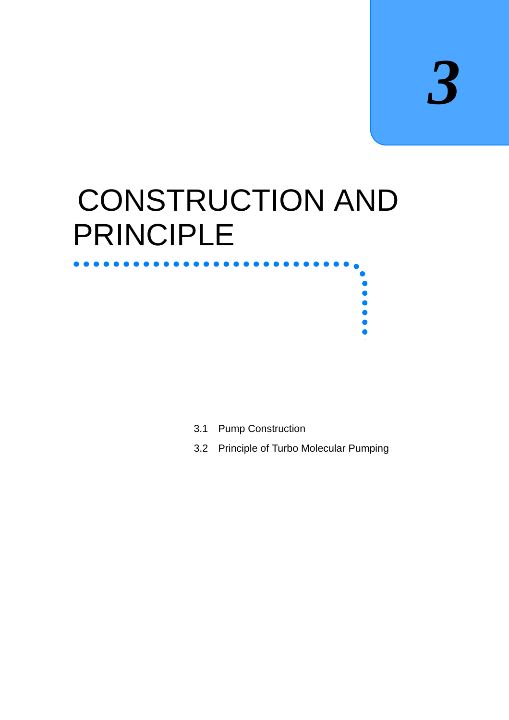*3*

# CONSTRUCTION AND PRINCIPLE

- 3.1 Pump Construction
- 3.2 Principle of Turbo Molecular Pumping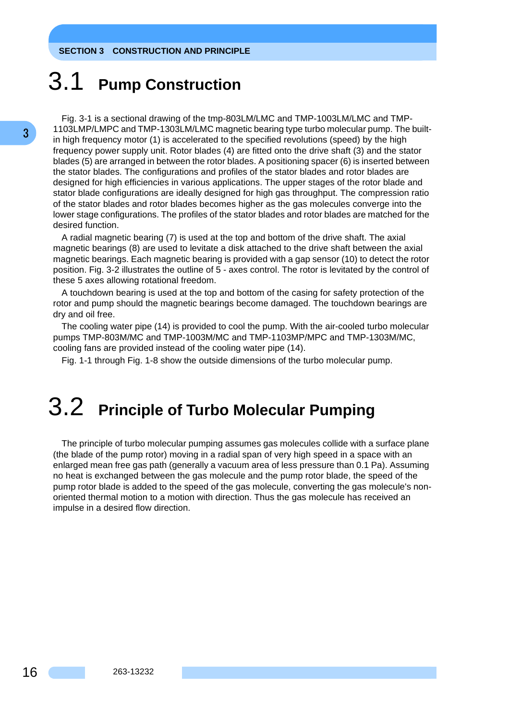# 3.1 **Pump Construction**

Fig. 3-1 is a sectional drawing of the tmp-803LM/LMC and TMP-1003LM/LMC and TMP-1103LMP/LMPC and TMP-1303LM/LMC magnetic bearing type turbo molecular pump. The builtin high frequency motor (1) is accelerated to the specified revolutions (speed) by the high frequency power supply unit. Rotor blades (4) are fitted onto the drive shaft (3) and the stator blades (5) are arranged in between the rotor blades. A positioning spacer (6) is inserted between the stator blades. The configurations and profiles of the stator blades and rotor blades are designed for high efficiencies in various applications. The upper stages of the rotor blade and stator blade configurations are ideally designed for high gas throughput. The compression ratio of the stator blades and rotor blades becomes higher as the gas molecules converge into the lower stage configurations. The profiles of the stator blades and rotor blades are matched for the desired function.

A radial magnetic bearing (7) is used at the top and bottom of the drive shaft. The axial magnetic bearings (8) are used to levitate a disk attached to the drive shaft between the axial magnetic bearings. Each magnetic bearing is provided with a gap sensor (10) to detect the rotor position. Fig. 3-2 illustrates the outline of 5 - axes control. The rotor is levitated by the control of these 5 axes allowing rotational freedom.

A touchdown bearing is used at the top and bottom of the casing for safety protection of the rotor and pump should the magnetic bearings become damaged. The touchdown bearings are dry and oil free.

The cooling water pipe (14) is provided to cool the pump. With the air-cooled turbo molecular pumps TMP-803M/MC and TMP-1003M/MC and TMP-1103MP/MPC and TMP-1303M/MC, cooling fans are provided instead of the cooling water pipe (14).

Fig. 1-1 through Fig. 1-8 show the outside dimensions of the turbo molecular pump.

# 3.2 **Principle of Turbo Molecular Pumping**

The principle of turbo molecular pumping assumes gas molecules collide with a surface plane (the blade of the pump rotor) moving in a radial span of very high speed in a space with an enlarged mean free gas path (generally a vacuum area of less pressure than 0.1 Pa). Assuming no heat is exchanged between the gas molecule and the pump rotor blade, the speed of the pump rotor blade is added to the speed of the gas molecule, converting the gas molecule's nonoriented thermal motion to a motion with direction. Thus the gas molecule has received an impulse in a desired flow direction.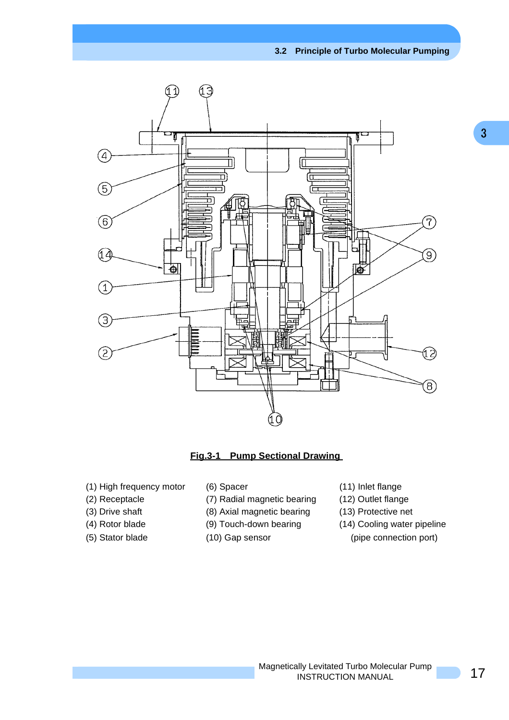

#### **Fig.3-1 Pump Sectional Drawing**

- (1) High frequency motor (6) Spacer (11) Inlet flange
- 
- 
- 
- 
- 
- (2) Receptacle (7) Radial magnetic bearing (12) Outlet flange
- (3) Drive shaft (8) Axial magnetic bearing (13) Protective net
	-
	-
- 
- 
- 
- (4) Rotor blade (9) Touch-down bearing (14) Cooling water pipeline
- (5) Stator blade (10) Gap sensor (pipe connection port)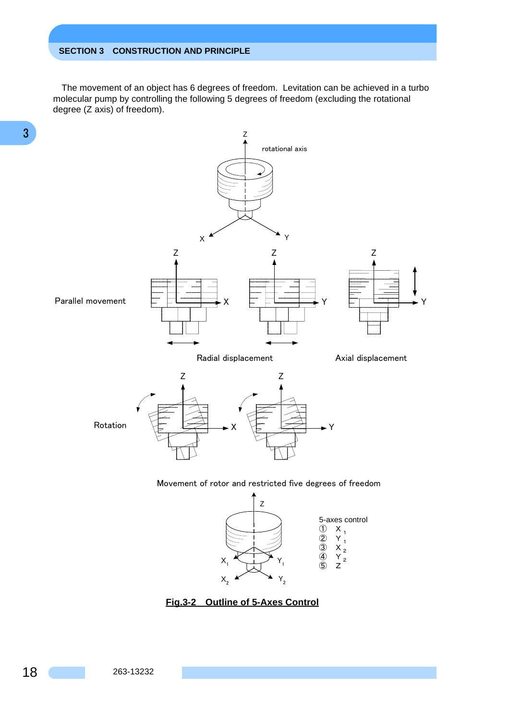#### **SECTION 3 CONSTRUCTION AND PRINCIPLE**

The movement of an object has 6 degrees of freedom. Levitation can be achieved in a turbo molecular pump by controlling the following 5 degrees of freedom (excluding the rotational degree (Z axis) of freedom).





Y,



 $X_{2}$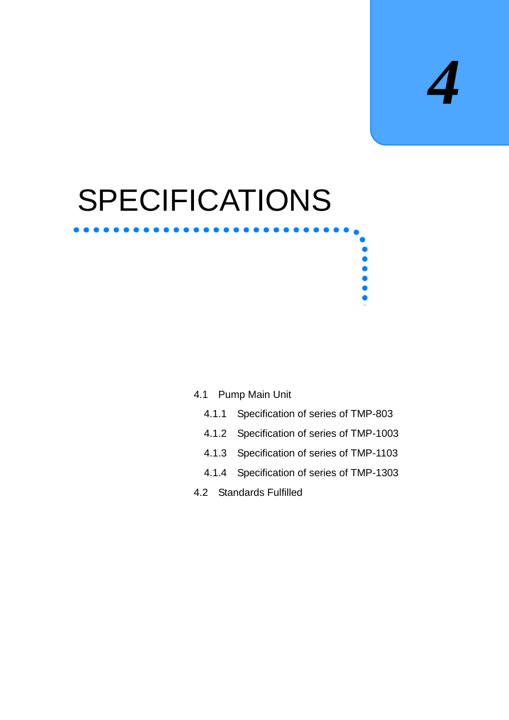# **SPECIFICATIONS**

- 4.1 Pump Main Unit
	- 4.1.1 Specification of series of TMP-803

**...** 

- 4.1.2 Specification of series of TMP-1003
- 4.1.3 Specification of series of TMP-1103
- 4.1.4 Specification of series of TMP-1303
- 4.2 Standards Fulfilled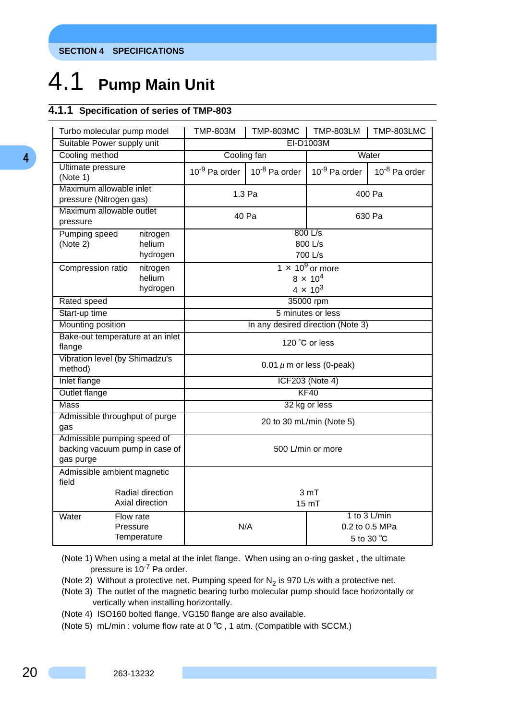# 4.1 **Pump Main Unit**

#### **4.1.1 Specification of series of TMP-803**

| Turbo molecular pump model                                                  |                                | <b>TMP-803M</b>                   | <b>TMP-803MC</b>                                                           | <b>TMP-803LM</b>   | TMP-803LMC                                   |  |
|-----------------------------------------------------------------------------|--------------------------------|-----------------------------------|----------------------------------------------------------------------------|--------------------|----------------------------------------------|--|
| Suitable Power supply unit                                                  |                                | EI-D1003M                         |                                                                            |                    |                                              |  |
| Cooling method                                                              |                                | Cooling fan                       |                                                                            | Water              |                                              |  |
| Ultimate pressure<br>(Note 1)                                               |                                | 10 <sup>-9</sup> Pa order         | $10^{-8}$ Pa order                                                         | $10^{-9}$ Pa order | $10^{-8}$ Pa order                           |  |
| Maximum allowable inlet<br>pressure (Nitrogen gas)                          |                                |                                   | 1.3 Pa                                                                     |                    | 400 Pa                                       |  |
| Maximum allowable outlet<br>pressure                                        |                                |                                   | 40 Pa                                                                      |                    | 630 Pa                                       |  |
| Pumping speed<br>(Note 2)                                                   | nitrogen<br>helium<br>hydrogen |                                   | 800 L/s<br>800 L/s<br>700 L/s                                              |                    |                                              |  |
| Compression ratio<br>nitrogen<br>helium<br>hydrogen                         |                                |                                   | 1 $\times$ 10 <sup>9</sup> or more<br>$8 \times 10^4$<br>$4 \times 10^{3}$ |                    |                                              |  |
| Rated speed                                                                 |                                | 35000 rpm                         |                                                                            |                    |                                              |  |
| Start-up time                                                               |                                | 5 minutes or less                 |                                                                            |                    |                                              |  |
| Mounting position                                                           |                                | In any desired direction (Note 3) |                                                                            |                    |                                              |  |
| Bake-out temperature at an inlet<br>flange                                  |                                | 120 °C or less                    |                                                                            |                    |                                              |  |
| Vibration level (by Shimadzu's<br>method)                                   |                                | 0.01 $\mu$ m or less (0-peak)     |                                                                            |                    |                                              |  |
| Inlet flange                                                                |                                | ICF203 (Note 4)                   |                                                                            |                    |                                              |  |
| Outlet flange                                                               |                                | KF40                              |                                                                            |                    |                                              |  |
| <b>Mass</b>                                                                 |                                | 32 kg or less                     |                                                                            |                    |                                              |  |
| Admissible throughput of purge<br>gas                                       |                                | 20 to 30 mL/min (Note 5)          |                                                                            |                    |                                              |  |
| Admissible pumping speed of<br>backing vacuum pump in case of<br>gas purge  |                                | 500 L/min or more                 |                                                                            |                    |                                              |  |
| Admissible ambient magnetic<br>field<br>Radial direction<br>Axial direction |                                | 3 <sub>mT</sub><br>15 mT          |                                                                            |                    |                                              |  |
| Water<br>Flow rate<br>Pressure                                              | Temperature                    |                                   | N/A                                                                        |                    | 1 to 3 L/min<br>0.2 to 0.5 MPa<br>5 to 30 °C |  |

(Note 1) When using a metal at the inlet flange. When using an o-ring gasket , the ultimate pressure is  $10^{-7}$  Pa order.

(Note 2) Without a protective net. Pumping speed for  $N_2$  is 970 L/s with a protective net.

(Note 3) The outlet of the magnetic bearing turbo molecular pump should face horizontally or vertically when installing horizontally.

- (Note 4) ISO160 bolted flange, VG150 flange are also available.
- (Note 5) mL/min : volume flow rate at 0 ℃ , 1 atm. (Compatible with SCCM.)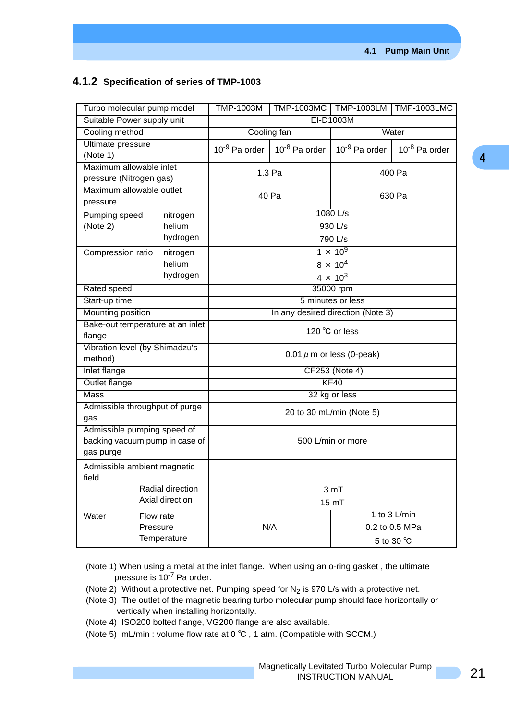#### **4.1.2 Specification of series of TMP-1003**

| Turbo molecular pump model       |             | <b>TMP-1003M</b>                  |                    |                               | TMP-1003MC   TMP-1003LM   TMP-1003LMC |  |
|----------------------------------|-------------|-----------------------------------|--------------------|-------------------------------|---------------------------------------|--|
| Suitable Power supply unit       |             | EI-D1003M                         |                    |                               |                                       |  |
| Cooling method                   |             | Cooling fan                       |                    | Water                         |                                       |  |
| <b>Ultimate pressure</b>         |             | $10^{-9}$ Pa order                | $10^{-8}$ Pa order | $10^{-9}$ Pa order            | $10^{-8}$ Pa order                    |  |
| (Note 1)                         |             |                                   |                    |                               |                                       |  |
| Maximum allowable inlet          |             |                                   | 1.3 Pa             |                               | 400 Pa                                |  |
| pressure (Nitrogen gas)          |             |                                   |                    |                               |                                       |  |
| Maximum allowable outlet         |             |                                   | 40 Pa              |                               | 630 Pa                                |  |
| pressure                         |             |                                   |                    |                               |                                       |  |
| Pumping speed                    | nitrogen    |                                   |                    | 1080 L/s                      |                                       |  |
| (Note 2)                         | helium      |                                   |                    | 930 L/s                       |                                       |  |
|                                  | hydrogen    |                                   |                    | 790 L/s                       |                                       |  |
| Compression ratio                | nitrogen    |                                   |                    | $1 \times 10^9$               |                                       |  |
|                                  | helium      |                                   |                    | $8 \times 10^4$               |                                       |  |
|                                  | hydrogen    |                                   |                    | $4 \times 10^{3}$             |                                       |  |
| Rated speed                      |             | 35000 rpm                         |                    |                               |                                       |  |
| Start-up time                    |             | 5 minutes or less                 |                    |                               |                                       |  |
| Mounting position                |             | In any desired direction (Note 3) |                    |                               |                                       |  |
| Bake-out temperature at an inlet |             |                                   |                    | 120 °C or less                |                                       |  |
| flange                           |             |                                   |                    |                               |                                       |  |
| Vibration level (by Shimadzu's   |             |                                   |                    | 0.01 $\mu$ m or less (0-peak) |                                       |  |
| method)                          |             | ICF253 (Note 4)                   |                    |                               |                                       |  |
| Inlet flange                     |             |                                   |                    |                               |                                       |  |
| Outlet flange                    |             | KF40                              |                    |                               |                                       |  |
| Mass                             |             | 32 kg or less                     |                    |                               |                                       |  |
| Admissible throughput of purge   |             | 20 to 30 mL/min (Note 5)          |                    |                               |                                       |  |
| gas                              |             |                                   |                    |                               |                                       |  |
| Admissible pumping speed of      |             |                                   |                    |                               |                                       |  |
| backing vacuum pump in case of   |             | 500 L/min or more                 |                    |                               |                                       |  |
| gas purge                        |             |                                   |                    |                               |                                       |  |
| Admissible ambient magnetic      |             |                                   |                    |                               |                                       |  |
| field                            |             |                                   |                    |                               |                                       |  |
| Radial direction                 |             | $3m$ T                            |                    |                               |                                       |  |
| Axial direction                  |             |                                   |                    | 15 mT                         |                                       |  |
| Water<br>Flow rate               |             |                                   |                    |                               | 1 to 3 L/min                          |  |
| Pressure                         |             | N/A                               |                    |                               | 0.2 to 0.5 MPa                        |  |
|                                  | Temperature |                                   |                    |                               | 5 to 30 °C                            |  |

(Note 1) When using a metal at the inlet flange. When using an o-ring gasket , the ultimate pressure is  $10^{-7}$  Pa order.

(Note 2) Without a protective net. Pumping speed for  $N_2$  is 970 L/s with a protective net.

(Note 3) The outlet of the magnetic bearing turbo molecular pump should face horizontally or vertically when installing horizontally.

- (Note 4) ISO200 bolted flange, VG200 flange are also available.
- (Note 5) mL/min : volume flow rate at 0 ℃ , 1 atm. (Compatible with SCCM.)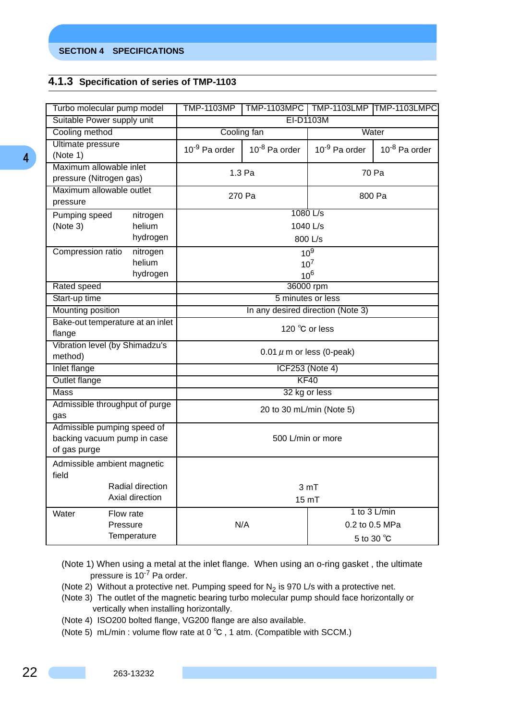#### **4.1.3 Specification of series of TMP-1103**

| Turbo molecular pump model               |                 | <b>TMP-1103MP</b>                 |                               |                           | TMP-1103MPC   TMP-1103LMP   TMP-1103LMPC |
|------------------------------------------|-----------------|-----------------------------------|-------------------------------|---------------------------|------------------------------------------|
| Suitable Power supply unit               |                 | EI-D1103M                         |                               |                           |                                          |
| Cooling method                           |                 | Cooling fan                       |                               | Water                     |                                          |
| Ultimate pressure                        |                 | $10^{-9}$ Pa order                | $10^{-8}$ Pa order            | 10 <sup>-9</sup> Pa order | $10^{-8}$ Pa order                       |
| (Note 1)                                 |                 |                                   |                               |                           |                                          |
| Maximum allowable inlet                  |                 |                                   | 1.3 <sub>Pa</sub>             |                           | 70 Pa                                    |
| pressure (Nitrogen gas)                  |                 |                                   |                               |                           |                                          |
| Maximum allowable outlet                 |                 | 270 Pa                            |                               |                           | 800 Pa                                   |
| pressure                                 |                 |                                   |                               |                           |                                          |
| Pumping speed                            | nitrogen        |                                   |                               | 1080 L/s                  |                                          |
| (Note 3)                                 | helium          |                                   |                               | 1040 L/s                  |                                          |
|                                          | hydrogen        |                                   |                               | 800 L/s                   |                                          |
| Compression ratio                        | nitrogen        |                                   | 10 <sup>9</sup>               |                           |                                          |
|                                          | helium          |                                   | 10 <sup>7</sup>               |                           |                                          |
|                                          | hydrogen        |                                   | 10 <sup>6</sup>               |                           |                                          |
| <b>Rated speed</b>                       |                 | 36000 rpm                         |                               |                           |                                          |
| Start-up time                            |                 | 5 minutes or less                 |                               |                           |                                          |
| Mounting position                        |                 | In any desired direction (Note 3) |                               |                           |                                          |
| Bake-out temperature at an inlet         |                 |                                   | 120 °C or less                |                           |                                          |
| flange<br>Vibration level (by Shimadzu's |                 |                                   |                               |                           |                                          |
|                                          |                 |                                   | 0.01 $\mu$ m or less (0-peak) |                           |                                          |
| method)<br>Inlet flange                  |                 |                                   | ICF253 (Note 4)               |                           |                                          |
| Outlet flange                            |                 |                                   |                               |                           |                                          |
| <b>Mass</b>                              |                 | KF40<br>32 kg or less             |                               |                           |                                          |
|                                          |                 |                                   |                               |                           |                                          |
| Admissible throughput of purge<br>gas    |                 | 20 to 30 mL/min (Note 5)          |                               |                           |                                          |
| Admissible pumping speed of              |                 |                                   |                               |                           |                                          |
| backing vacuum pump in case              |                 | 500 L/min or more                 |                               |                           |                                          |
| of gas purge                             |                 |                                   |                               |                           |                                          |
| Admissible ambient magnetic              |                 |                                   |                               |                           |                                          |
| field                                    |                 |                                   |                               |                           |                                          |
| Radial direction                         |                 | 3 <sub>mT</sub>                   |                               |                           |                                          |
|                                          | Axial direction |                                   | 15 mT                         |                           |                                          |
| Water                                    | Flow rate       |                                   |                               |                           | 1 to $3 L/min$                           |
|                                          | Pressure        | N/A                               |                               |                           | 0.2 to 0.5 MPa                           |
|                                          | Temperature     |                                   |                               | 5 to 30 °C                |                                          |

(Note 1) When using a metal at the inlet flange. When using an o-ring gasket , the ultimate pressure is 10<sup>-7</sup> Pa order.

- (Note 2) Without a protective net. Pumping speed for  $N<sub>2</sub>$  is 970 L/s with a protective net.
- (Note 3) The outlet of the magnetic bearing turbo molecular pump should face horizontally or vertically when installing horizontally.
- (Note 4) ISO200 bolted flange, VG200 flange are also available.
- (Note 5) mL/min : volume flow rate at 0 ℃ , 1 atm. (Compatible with SCCM.)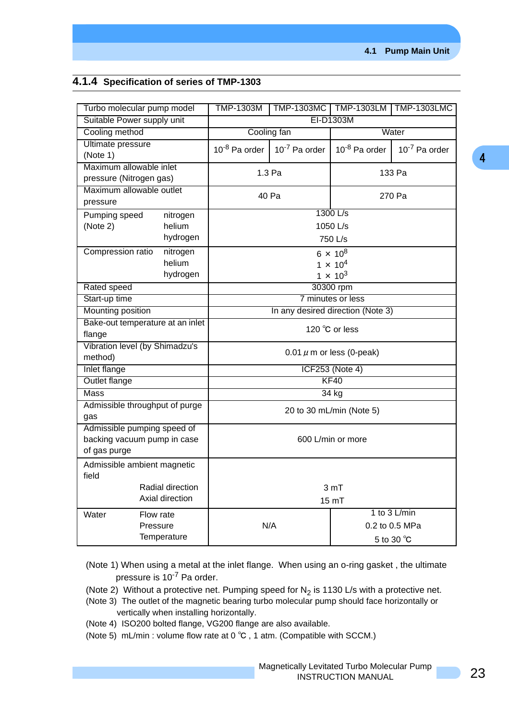#### **4.1.4 Specification of series of TMP-1303**

| Turbo molecular pump model                 |             | <b>TMP-1303M</b>                  |                    | TMP-1303MC   TMP-1303LM       | <b>TMP-1303LMC</b> |  |
|--------------------------------------------|-------------|-----------------------------------|--------------------|-------------------------------|--------------------|--|
| Suitable Power supply unit                 |             | EI-D1303M                         |                    |                               |                    |  |
| Cooling method                             |             | Cooling fan                       |                    |                               | Water              |  |
| Ultimate pressure                          |             | $10^{-8}$ Pa order                | $10^{-7}$ Pa order | $10^{-8}$ Pa order            | $10^{-7}$ Pa order |  |
| (Note 1)                                   |             |                                   |                    |                               |                    |  |
| Maximum allowable inlet                    |             |                                   | 1.3 Pa             |                               | 133 Pa             |  |
| pressure (Nitrogen gas)                    |             |                                   |                    |                               |                    |  |
| Maximum allowable outlet                   |             |                                   | 40 Pa              |                               | 270 Pa             |  |
| pressure                                   |             |                                   |                    |                               |                    |  |
| Pumping speed                              | nitrogen    |                                   |                    | 1300 L/s                      |                    |  |
| (Note 2)                                   | helium      |                                   |                    | 1050 L/s                      |                    |  |
|                                            | hydrogen    |                                   |                    | 750 L/s                       |                    |  |
| Compression ratio                          | nitrogen    |                                   |                    | $6 \times 10^8$               |                    |  |
|                                            | helium      |                                   |                    | $1 \times 10^{4}$             |                    |  |
|                                            | hydrogen    |                                   |                    | $1 \times 10^{3}$             |                    |  |
| Rated speed                                |             | 30300 rpm                         |                    |                               |                    |  |
| Start-up time                              |             | 7 minutes or less                 |                    |                               |                    |  |
| Mounting position                          |             | In any desired direction (Note 3) |                    |                               |                    |  |
| Bake-out temperature at an inlet<br>flange |             |                                   |                    | 120 °C or less                |                    |  |
| Vibration level (by Shimadzu's             |             |                                   |                    |                               |                    |  |
| method)                                    |             |                                   |                    | 0.01 $\mu$ m or less (0-peak) |                    |  |
| <b>Inlet flange</b>                        |             |                                   |                    | ICF253 (Note 4)               |                    |  |
| Outlet flange                              |             |                                   |                    | <b>KF40</b>                   |                    |  |
| Mass                                       |             | 34 kg                             |                    |                               |                    |  |
| Admissible throughput of purge             |             | 20 to 30 mL/min (Note 5)          |                    |                               |                    |  |
| gas                                        |             |                                   |                    |                               |                    |  |
| Admissible pumping speed of                |             |                                   |                    |                               |                    |  |
| backing vacuum pump in case                |             | 600 L/min or more                 |                    |                               |                    |  |
| of gas purge                               |             |                                   |                    |                               |                    |  |
| Admissible ambient magnetic                |             |                                   |                    |                               |                    |  |
| field                                      |             |                                   |                    |                               |                    |  |
| Radial direction                           |             | 3 <sub>mT</sub>                   |                    |                               |                    |  |
| Axial direction                            |             |                                   |                    | 15 mT                         |                    |  |
| Water<br>Flow rate                         |             |                                   |                    |                               | 1 to $3 L/min$     |  |
| Pressure                                   |             |                                   | N/A                |                               | 0.2 to 0.5 MPa     |  |
|                                            | Temperature |                                   |                    |                               | 5 to 30 °C         |  |

- (Note 1) When using a metal at the inlet flange. When using an o-ring gasket , the ultimate pressure is 10<sup>-7</sup> Pa order.
- (Note 2) Without a protective net. Pumping speed for  $N_2$  is 1130 L/s with a protective net.
- (Note 3) The outlet of the magnetic bearing turbo molecular pump should face horizontally or vertically when installing horizontally.
- (Note 4) ISO200 bolted flange, VG200 flange are also available.
- (Note 5) mL/min : volume flow rate at 0  $°C$ , 1 atm. (Compatible with SCCM.)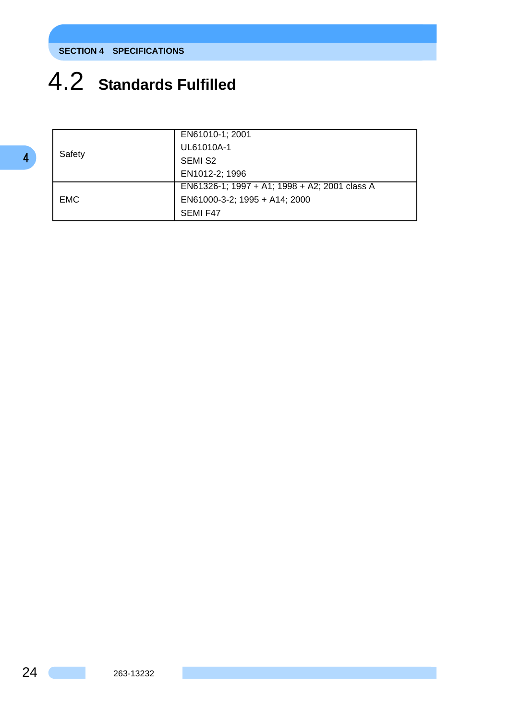**SECTION 4 SPECIFICATIONS**

# 4.2 **Standards Fulfilled**

|  | Safety     | EN61010-1; 2001                               |
|--|------------|-----------------------------------------------|
|  |            | UL61010A-1                                    |
|  |            | SEMI S2                                       |
|  |            | EN1012-2; 1996                                |
|  |            | EN61326-1; 1997 + A1; 1998 + A2; 2001 class A |
|  | <b>EMC</b> | EN61000-3-2; 1995 + A14; 2000                 |
|  |            | SEMI F47                                      |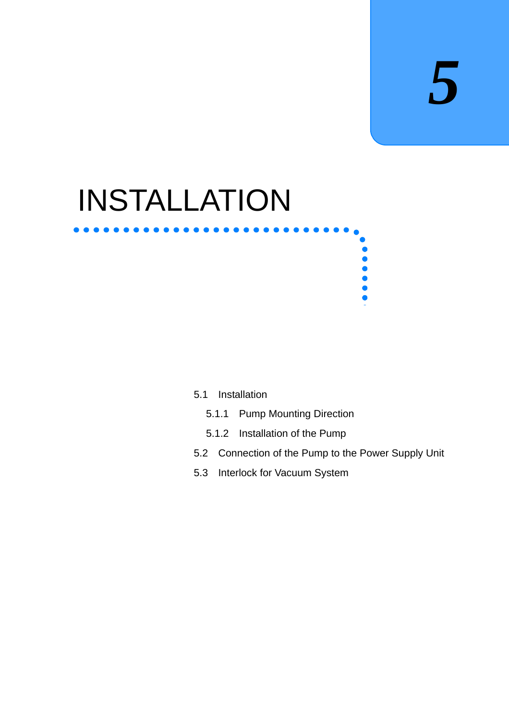# **INSTALLATION**

- 5.1 Installation
	- 5.1.1 Pump Mounting Direction
	- 5.1.2 Installation of the Pump
- 5.2 Connection of the Pump to the Power Supply Unit

**....** 

5.3 Interlock for Vacuum System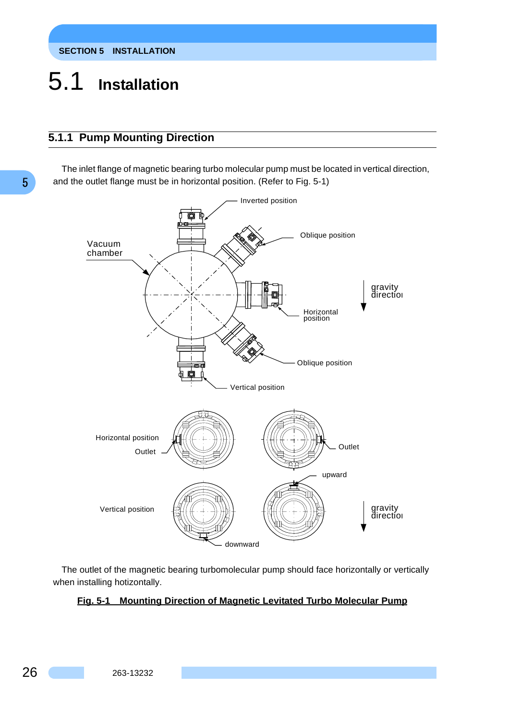# 5.1 **Installation**

#### **5.1.1 Pump Mounting Direction**

The inlet flange of magnetic bearing turbo molecular pump must be located in vertical direction, and the outlet flange must be in horizontal position. (Refer to Fig. 5-1)



The outlet of the magnetic bearing turbomolecular pump should face horizontally or vertically when installing hotizontally.

#### **Fig. 5-1 Mounting Direction of Magnetic Levitated Turbo Molecular Pump**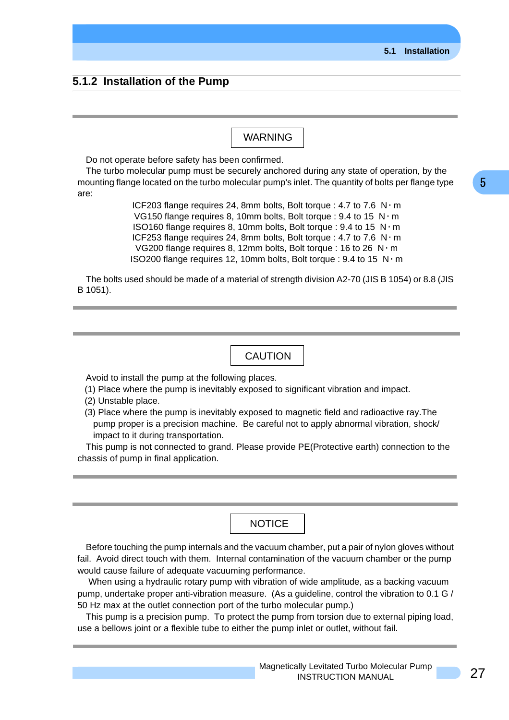#### **5.1.2 Installation of the Pump**

#### **WARNING**

Do not operate before safety has been confirmed.

The turbo molecular pump must be securely anchored during any state of operation, by the mounting flange located on the turbo molecular pump's inlet. The quantity of bolts per flange type are:

> ICF203 flange requires 24, 8mm bolts, Bolt torque : 4.7 to 7.6  $N \cdot m$ VG150 flange requires 8, 10mm bolts, Bolt torque : 9.4 to 15 N・m ISO160 flange requires 8, 10mm bolts, Bolt torque : 9.4 to 15 N・m ICF253 flange requires 24, 8mm bolts, Bolt torque : 4.7 to 7.6 N・m VG200 flange requires 8, 12mm bolts, Bolt torque : 16 to 26 N・m ISO200 flange requires 12, 10mm bolts, Bolt torque : 9.4 to 15 N・m

The bolts used should be made of a material of strength division A2-70 (JIS B 1054) or 8.8 (JIS B 1051).

CAUTION

Avoid to install the pump at the following places.

(1) Place where the pump is inevitably exposed to significant vibration and impact.

- (2) Unstable place.
- (3) Place where the pump is inevitably exposed to magnetic field and radioactive ray.The pump proper is a precision machine. Be careful not to apply abnormal vibration, shock/ impact to it during transportation.

This pump is not connected to grand. Please provide PE(Protective earth) connection to the chassis of pump in final application.



Before touching the pump internals and the vacuum chamber, put a pair of nylon gloves without fail. Avoid direct touch with them. Internal contamination of the vacuum chamber or the pump would cause failure of adequate vacuuming performance.

 When using a hydraulic rotary pump with vibration of wide amplitude, as a backing vacuum pump, undertake proper anti-vibration measure. (As a guideline, control the vibration to 0.1 G / 50 Hz max at the outlet connection port of the turbo molecular pump.)

This pump is a precision pump. To protect the pump from torsion due to external piping load, use a bellows joint or a flexible tube to either the pump inlet or outlet, without fail.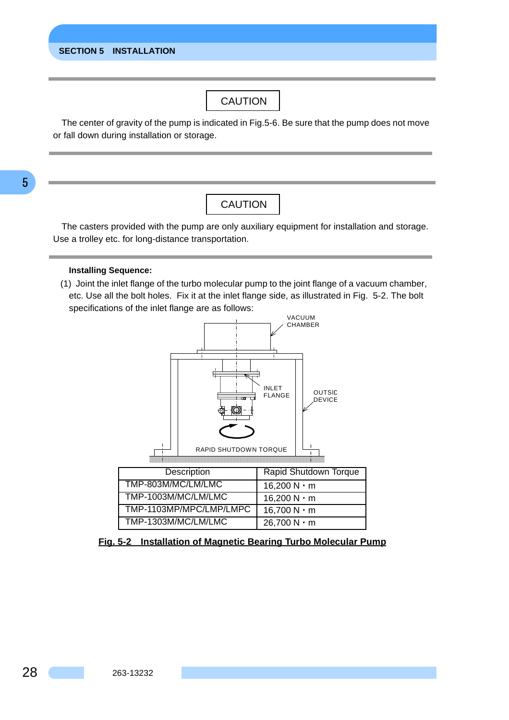#### CAUTION

The center of gravity of the pump is indicated in Fig.5-6. Be sure that the pump does not move or fall down during installation or storage.

#### CAUTION

The casters provided with the pump are only auxiliary equipment for installation and storage. Use a trolley etc. for long-distance transportation.

#### **Installing Sequence:**

(1) Joint the inlet flange of the turbo molecular pump to the joint flange of a vacuum chamber, etc. Use all the bolt holes. Fix it at the inlet flange side, as illustrated in Fig. 5-2. The bolt specifications of the inlet flange are as follows:



**Fig. 5-2 Installation of Magnetic Bearing Turbo Molecular Pump**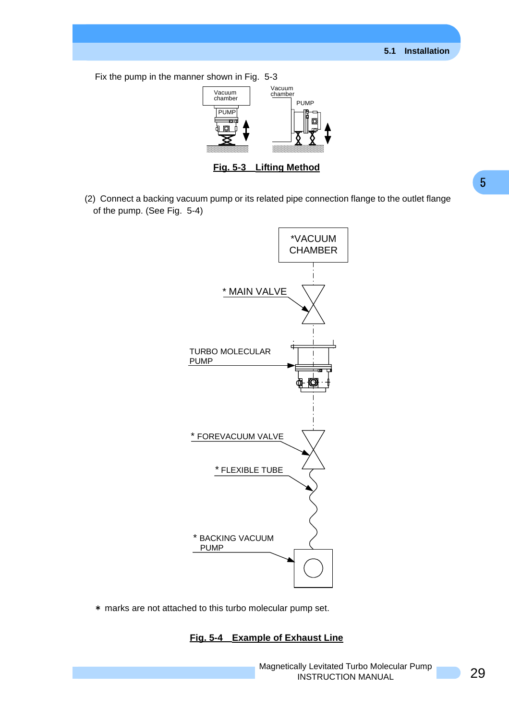Fix the pump in the manner shown in Fig. 5-3



(2) Connect a backing vacuum pump or its related pipe connection flange to the outlet flange of the pump. (See Fig. 5-4)



\* marks are not attached to this turbo molecular pump set.

#### **Fig. 5-4 Example of Exhaust Line**

Magnetically Levitated Turbo Molecular Pump<br>129 MSTRUCTION MANUAL INSTRUCTION MANUAL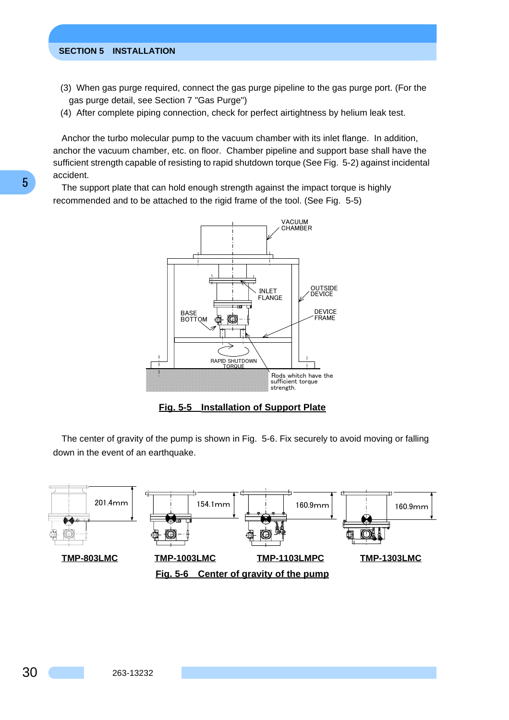- (3) When gas purge required, connect the gas purge pipeline to the gas purge port. (For the gas purge detail, see Section 7 "Gas Purge")
- (4) After complete piping connection, check for perfect airtightness by helium leak test.

Anchor the turbo molecular pump to the vacuum chamber with its inlet flange. In addition, anchor the vacuum chamber, etc. on floor. Chamber pipeline and support base shall have the sufficient strength capable of resisting to rapid shutdown torque (See Fig. 5-2) against incidental accident.

The support plate that can hold enough strength against the impact torque is highly recommended and to be attached to the rigid frame of the tool. (See Fig. 5-5)



**Fig. 5-5 Installation of Support Plate**

The center of gravity of the pump is shown in Fig. 5-6. Fix securely to avoid moving or falling down in the event of an earthquake.

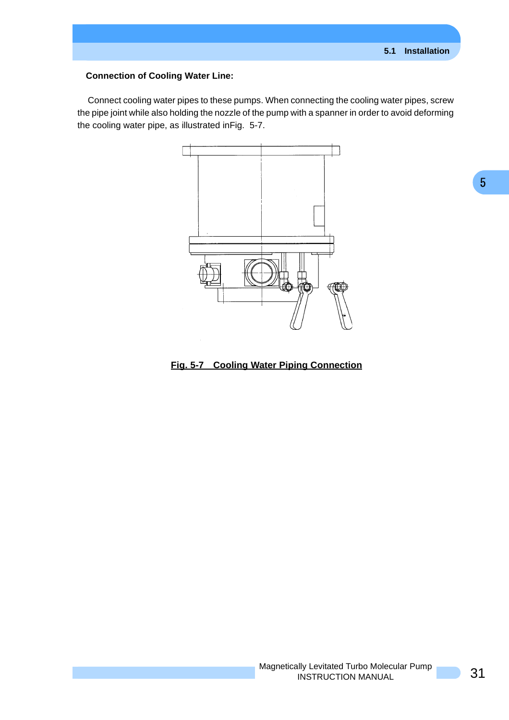#### **Connection of Cooling Water Line:**

 Connect cooling water pipes to these pumps. When connecting the cooling water pipes, screw the pipe joint while also holding the nozzle of the pump with a spanner in order to avoid deforming the cooling water pipe, as illustrated inFig. 5-7.



#### **Fig. 5-7 Cooling Water Piping Connection**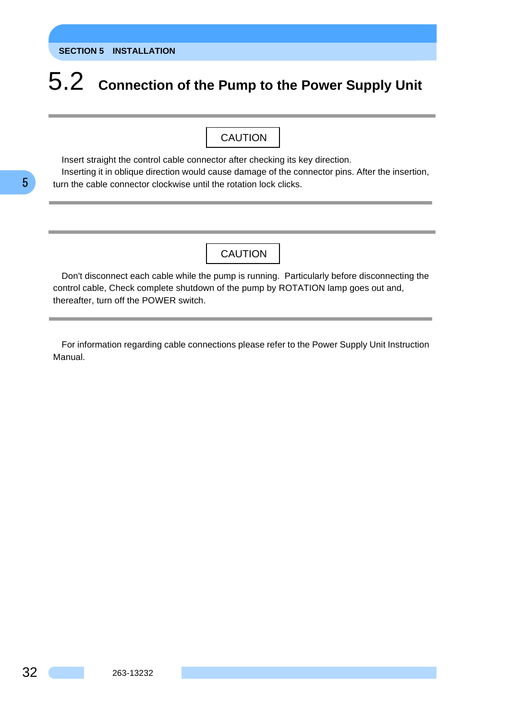# 5.2 **Connection of the Pump to the Power Supply Unit**

CAUTION

Insert straight the control cable connector after checking its key direction. Inserting it in oblique direction would cause damage of the connector pins. After the insertion, turn the cable connector clockwise until the rotation lock clicks.

5

CAUTION

Don't disconnect each cable while the pump is running. Particularly before disconnecting the control cable, Check complete shutdown of the pump by ROTATION lamp goes out and, thereafter, turn off the POWER switch.

For information regarding cable connections please refer to the Power Supply Unit Instruction Manual.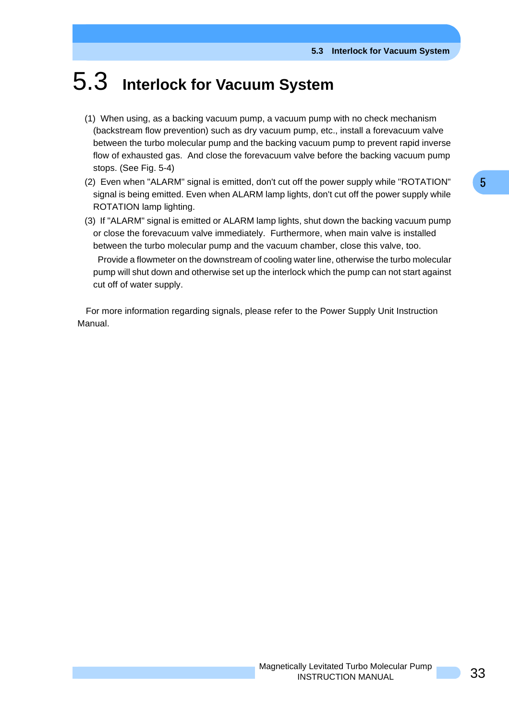# 5.3 **Interlock for Vacuum System**

- (1) When using, as a backing vacuum pump, a vacuum pump with no check mechanism (backstream flow prevention) such as dry vacuum pump, etc., install a forevacuum valve between the turbo molecular pump and the backing vacuum pump to prevent rapid inverse flow of exhausted gas. And close the forevacuum valve before the backing vacuum pump stops. (See Fig. 5-4)
- (2) Even when "ALARM" signal is emitted, don't cut off the power supply while "ROTATION" signal is being emitted. Even when ALARM lamp lights, don't cut off the power supply while ROTATION lamp lighting.
- (3) If "ALARM" signal is emitted or ALARM lamp lights, shut down the backing vacuum pump or close the forevacuum valve immediately. Furthermore, when main valve is installed between the turbo molecular pump and the vacuum chamber, close this valve, too.

 Provide a flowmeter on the downstream of cooling water line, otherwise the turbo molecular pump will shut down and otherwise set up the interlock which the pump can not start against cut off of water supply.

For more information regarding signals, please refer to the Power Supply Unit Instruction Manual.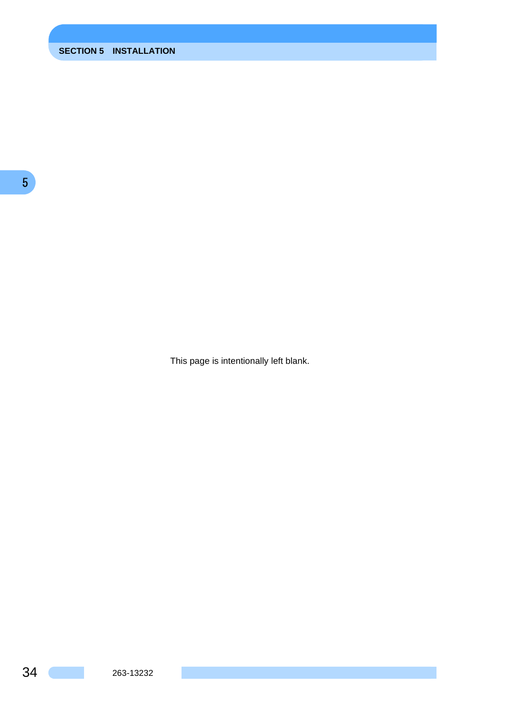This page is intentionally left blank.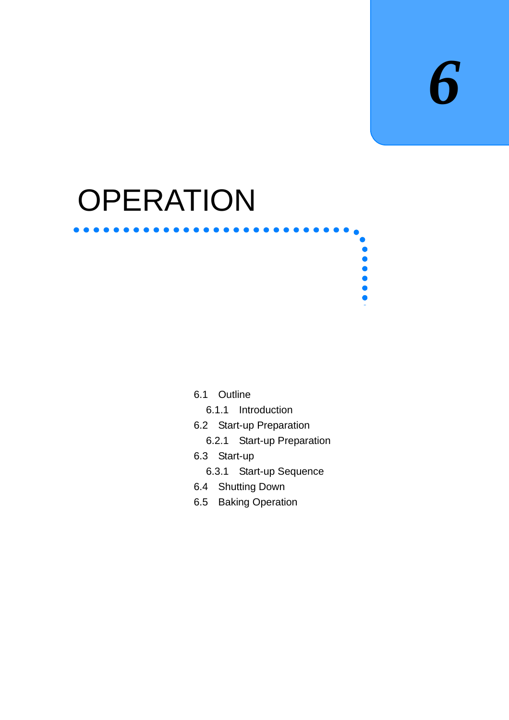**.....** 

# **OPERATION**

- 6.1 Outline
	- 6.1.1 Introduction
- 6.2 Start-up Preparation
	- 6.2.1 Start-up Preparation
- 6.3 Start-up
	- 6.3.1 Start-up Sequence
- 6.4 Shutting Down
- 6.5 Baking Operation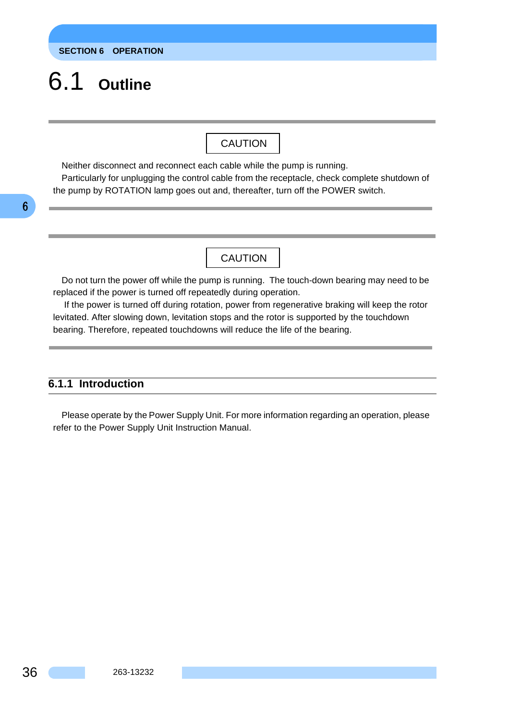# 6.1 **Outline**

#### CAUTION

Neither disconnect and reconnect each cable while the pump is running. Particularly for unplugging the control cable from the receptacle, check complete shutdown of

the pump by ROTATION lamp goes out and, thereafter, turn off the POWER switch.

**CAUTION** 

Do not turn the power off while the pump is running. The touch-down bearing may need to be replaced if the power is turned off repeatedly during operation.

 If the power is turned off during rotation, power from regenerative braking will keep the rotor levitated. After slowing down, levitation stops and the rotor is supported by the touchdown bearing. Therefore, repeated touchdowns will reduce the life of the bearing.

#### **6.1.1 Introduction**

Please operate by the Power Supply Unit. For more information regarding an operation, please refer to the Power Supply Unit Instruction Manual.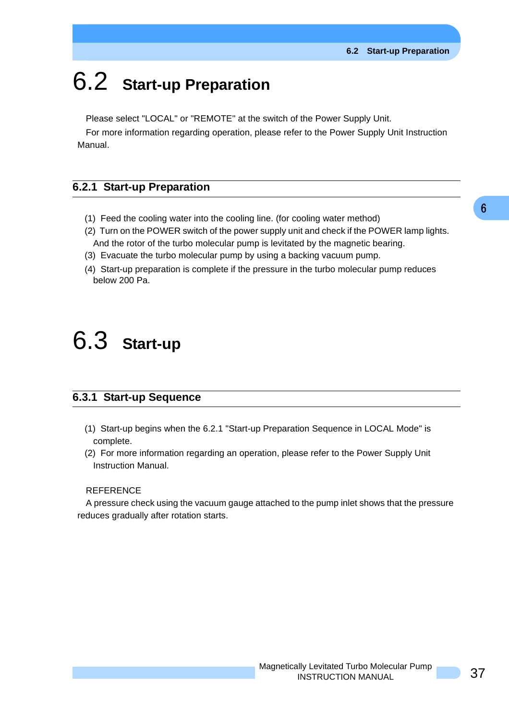# 6.2 **Start-up Preparation**

Please select "LOCAL" or "REMOTE" at the switch of the Power Supply Unit.

For more information regarding operation, please refer to the Power Supply Unit Instruction Manual.

#### **6.2.1 Start-up Preparation**

- (1) Feed the cooling water into the cooling line. (for cooling water method)
- (2) Turn on the POWER switch of the power supply unit and check if the POWER lamp lights. And the rotor of the turbo molecular pump is levitated by the magnetic bearing.
- (3) Evacuate the turbo molecular pump by using a backing vacuum pump.
- (4) Start-up preparation is complete if the pressure in the turbo molecular pump reduces below 200 Pa.

# 6.3 **Start-up**

#### **6.3.1 Start-up Sequence**

- (1) Start-up begins when the 6.2.1 "Start-up Preparation Sequence in LOCAL Mode" is complete.
- (2) For more information regarding an operation, please refer to the Power Supply Unit Instruction Manual.

#### **REFERENCE**

A pressure check using the vacuum gauge attached to the pump inlet shows that the pressure reduces gradually after rotation starts.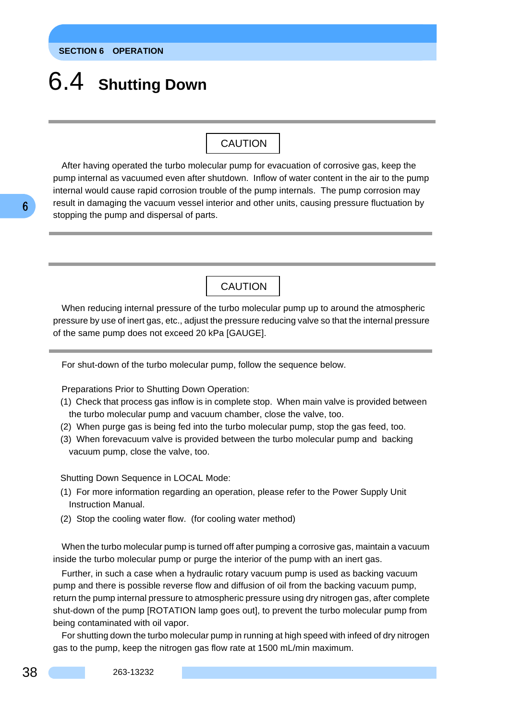# 6.4 **Shutting Down**

#### CAUTION

After having operated the turbo molecular pump for evacuation of corrosive gas, keep the pump internal as vacuumed even after shutdown. Inflow of water content in the air to the pump internal would cause rapid corrosion trouble of the pump internals. The pump corrosion may result in damaging the vacuum vessel interior and other units, causing pressure fluctuation by stopping the pump and dispersal of parts.

CAUTION

When reducing internal pressure of the turbo molecular pump up to around the atmospheric pressure by use of inert gas, etc., adjust the pressure reducing valve so that the internal pressure of the same pump does not exceed 20 kPa [GAUGE].

For shut-down of the turbo molecular pump, follow the sequence below.

Preparations Prior to Shutting Down Operation:

- (1) Check that process gas inflow is in complete stop. When main valve is provided between the turbo molecular pump and vacuum chamber, close the valve, too.
- (2) When purge gas is being fed into the turbo molecular pump, stop the gas feed, too.
- (3) When forevacuum valve is provided between the turbo molecular pump and backing vacuum pump, close the valve, too.

Shutting Down Sequence in LOCAL Mode:

- (1) For more information regarding an operation, please refer to the Power Supply Unit Instruction Manual.
- (2) Stop the cooling water flow. (for cooling water method)

When the turbo molecular pump is turned off after pumping a corrosive gas, maintain a vacuum inside the turbo molecular pump or purge the interior of the pump with an inert gas.

Further, in such a case when a hydraulic rotary vacuum pump is used as backing vacuum pump and there is possible reverse flow and diffusion of oil from the backing vacuum pump, return the pump internal pressure to atmospheric pressure using dry nitrogen gas, after complete shut-down of the pump [ROTATION lamp goes out], to prevent the turbo molecular pump from being contaminated with oil vapor.

For shutting down the turbo molecular pump in running at high speed with infeed of dry nitrogen gas to the pump, keep the nitrogen gas flow rate at 1500 mL/min maximum.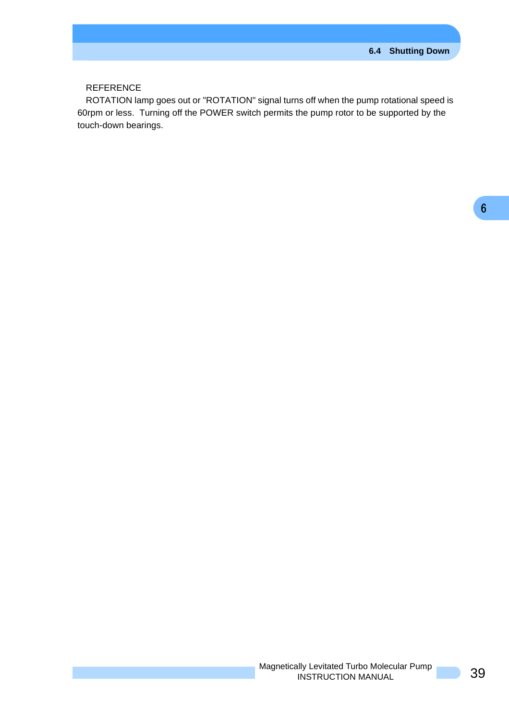#### REFERENCE

ROTATION lamp goes out or "ROTATION" signal turns off when the pump rotational speed is 60rpm or less. Turning off the POWER switch permits the pump rotor to be supported by the touch-down bearings.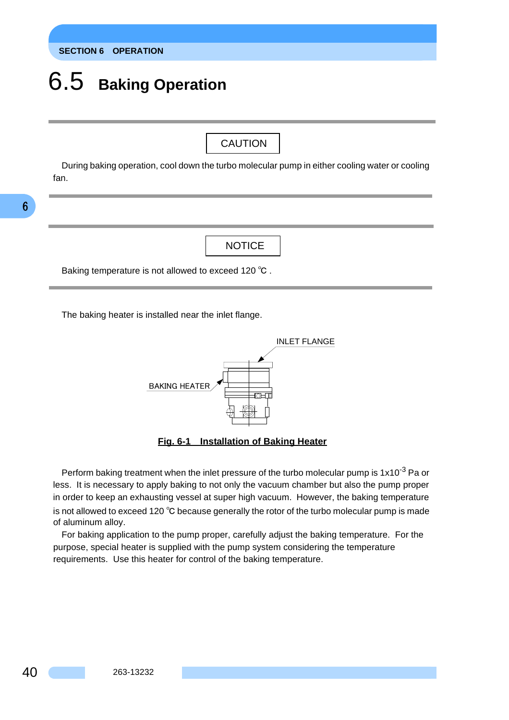# 6.5 **Baking Operation**

#### CAUTION

During baking operation, cool down the turbo molecular pump in either cooling water or cooling fan.

#### **NOTICE**

Baking temperature is not allowed to exceed 120 ℃ .

The baking heater is installed near the inlet flange.





Perform baking treatment when the inlet pressure of the turbo molecular pump is  $1x10^{-3}$  Pa or less. It is necessary to apply baking to not only the vacuum chamber but also the pump proper in order to keep an exhausting vessel at super high vacuum. However, the baking temperature is not allowed to exceed 120 ℃ because generally the rotor of the turbo molecular pump is made of aluminum alloy.

For baking application to the pump proper, carefully adjust the baking temperature. For the purpose, special heater is supplied with the pump system considering the temperature requirements. Use this heater for control of the baking temperature.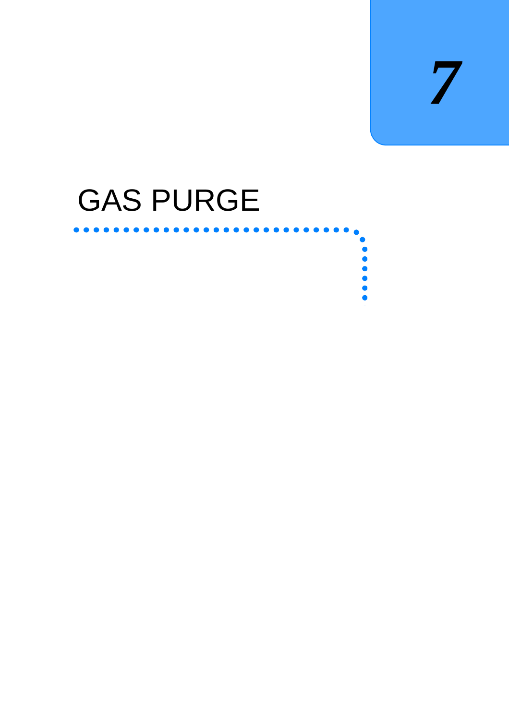*7*

 $\bullet$ 

# 7GAS PURGE

.....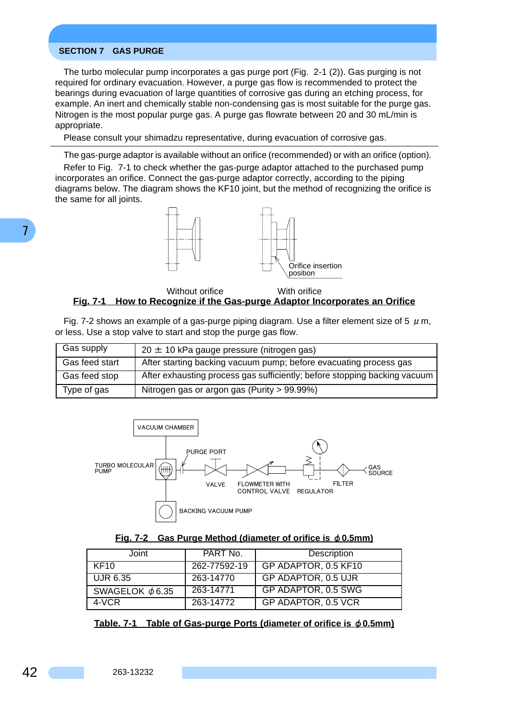#### **SECTION 7 GAS PURGE**

The turbo molecular pump incorporates a gas purge port (Fig. 2-1 (2)). Gas purging is not required for ordinary evacuation. However, a purge gas flow is recommended to protect the bearings during evacuation of large quantities of corrosive gas during an etching process, for example. An inert and chemically stable non-condensing gas is most suitable for the purge gas. Nitrogen is the most popular purge gas. A purge gas flowrate between 20 and 30 mL/min is appropriate.

Please consult your shimadzu representative, during evacuation of corrosive gas.

The gas-purge adaptor is available without an orifice (recommended) or with an orifice (option). Refer to Fig. 7-1 to check whether the gas-purge adaptor attached to the purchased pump incorporates an orifice. Connect the gas-purge adaptor correctly, according to the piping diagrams below. The diagram shows the KF10 joint, but the method of recognizing the orifice is the same for all joints.



#### Without orifice **With orifice Fig. 7-1 How to Recognize if the Gas-purge Adaptor Incorporates an Orifice**

Fig. 7-2 shows an example of a gas-purge piping diagram. Use a filter element size of 5  $\mu$  m, or less. Use a stop valve to start and stop the purge gas flow.

| Gas supply     | $20 \pm 10$ kPa gauge pressure (nitrogen gas)                             |
|----------------|---------------------------------------------------------------------------|
| Gas feed start | After starting backing vacuum pump; before evacuating process gas         |
| Gas feed stop  | After exhausting process gas sufficiently; before stopping backing vacuum |
| Type of gas    | Nitrogen gas or argon gas (Purity > 99.99%)                               |



#### **Fig. 7-2 Gas Purge Method (diameter of orifice is** φ**0.5mm)**

| Joint                | PART No.     | Description          |
|----------------------|--------------|----------------------|
| KF <sub>10</sub>     | 262-77592-19 | GP ADAPTOR, 0.5 KF10 |
| <b>UJR 6.35</b>      | 263-14770    | GP ADAPTOR, 0.5 UJR  |
| SWAGELOK $\phi$ 6.35 | 263-14771    | GP ADAPTOR, 0.5 SWG  |
| 4-VCR                | 263-14772    | GP ADAPTOR, 0.5 VCR  |

**Table. 7-1 Table of Gas-purge Ports (diameter of orifice is** φ**0.5mm)**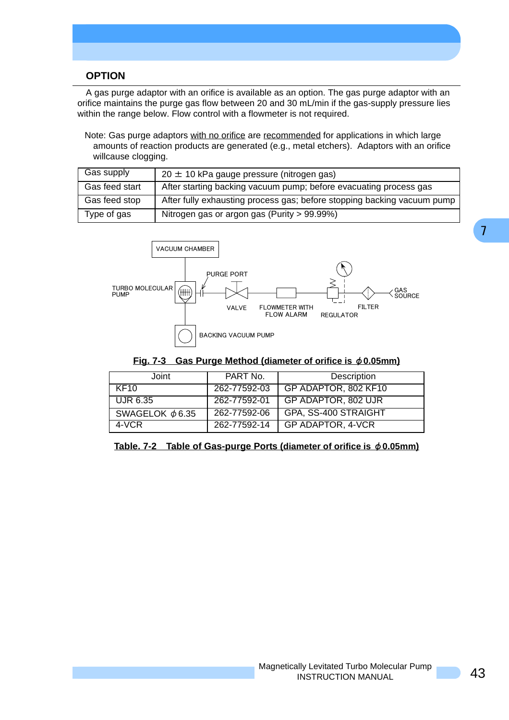#### **OPTION**

A gas purge adaptor with an orifice is available as an option. The gas purge adaptor with an orifice maintains the purge gas flow between 20 and 30 mL/min if the gas-supply pressure lies within the range below. Flow control with a flowmeter is not required.

Note: Gas purge adaptors with no orifice are recommended for applications in which large amounts of reaction products are generated (e.g., metal etchers). Adaptors with an orifice willcause clogging.

| Gas supply     | $20 \pm 10$ kPa gauge pressure (nitrogen gas)                           |
|----------------|-------------------------------------------------------------------------|
| Gas feed start | After starting backing vacuum pump; before evacuating process gas       |
| Gas feed stop  | After fully exhausting process gas; before stopping backing vacuum pump |
| Type of gas    | Nitrogen gas or argon gas (Purity > 99.99%)                             |



|  | Fig. 7-3 Gas Purge Method (diameter of orifice is $\phi$ 0.05mm) |  |
|--|------------------------------------------------------------------|--|
|  |                                                                  |  |

| Joint                | PART No.     | Description              |
|----------------------|--------------|--------------------------|
| KF <sub>10</sub>     | 262-77592-03 | GP ADAPTOR, 802 KF10     |
| UJR 6.35             | 262-77592-01 | GP ADAPTOR, 802 UJR      |
| SWAGELOK $\phi$ 6.35 | 262-77592-06 | GPA, SS-400 STRAIGHT     |
| 4-VCR                | 262-77592-14 | <b>GP ADAPTOR, 4-VCR</b> |

#### **Table. 7-2 Table of Gas-purge Ports (diameter of orifice is φ0.05mm)**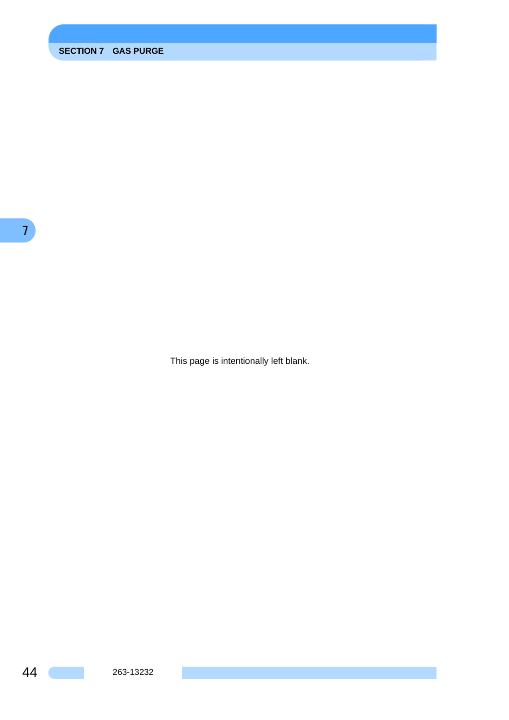This page is intentionally left blank.

7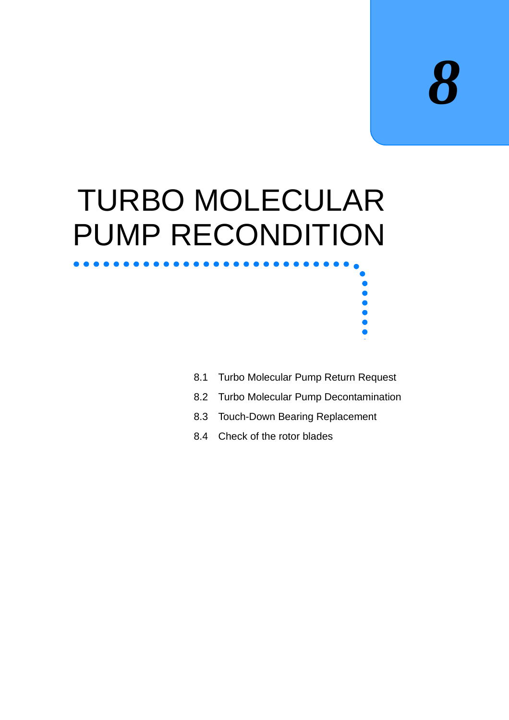*8*

# TURBO MOLECULAR PUMP RECONDITION

- 8.1 Turbo Molecular Pump Return Request
- 8.2 Turbo Molecular Pump Decontamination
- 8.3 Touch-Down Bearing Replacement
- 8.4 Check of the rotor blades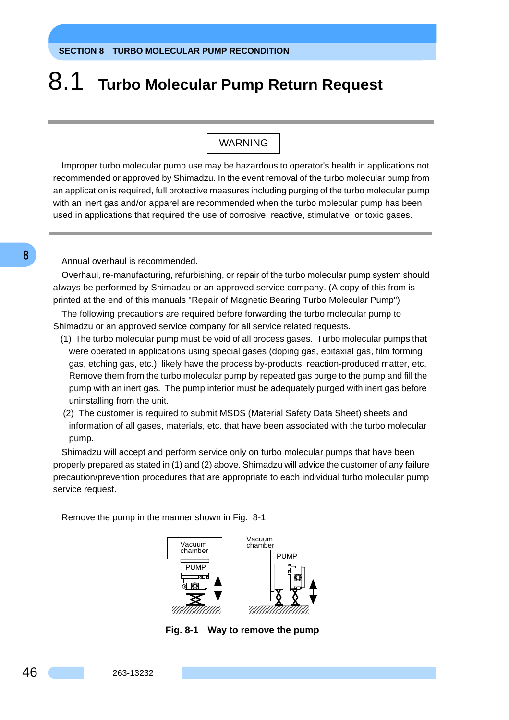# 8.1 **Turbo Molecular Pump Return Request**

#### WARNING

Improper turbo molecular pump use may be hazardous to operator's health in applications not recommended or approved by Shimadzu. In the event removal of the turbo molecular pump from an application is required, full protective measures including purging of the turbo molecular pump with an inert gas and/or apparel are recommended when the turbo molecular pump has been used in applications that required the use of corrosive, reactive, stimulative, or toxic gases.

Annual overhaul is recommended.

Overhaul, re-manufacturing, refurbishing, or repair of the turbo molecular pump system should always be performed by Shimadzu or an approved service company. (A copy of this from is printed at the end of this manuals "Repair of Magnetic Bearing Turbo Molecular Pump")

The following precautions are required before forwarding the turbo molecular pump to Shimadzu or an approved service company for all service related requests.

- (1) The turbo molecular pump must be void of all process gases. Turbo molecular pumps that were operated in applications using special gases (doping gas, epitaxial gas, film forming gas, etching gas, etc.), likely have the process by-products, reaction-produced matter, etc. Remove them from the turbo molecular pump by repeated gas purge to the pump and fill the pump with an inert gas. The pump interior must be adequately purged with inert gas before uninstalling from the unit.
- (2) The customer is required to submit MSDS (Material Safety Data Sheet) sheets and information of all gases, materials, etc. that have been associated with the turbo molecular pump.

Shimadzu will accept and perform service only on turbo molecular pumps that have been properly prepared as stated in (1) and (2) above. Shimadzu will advice the customer of any failure precaution/prevention procedures that are appropriate to each individual turbo molecular pump service request.

Remove the pump in the manner shown in Fig. 8-1.



**Fig. 8-1 Way to remove the pump**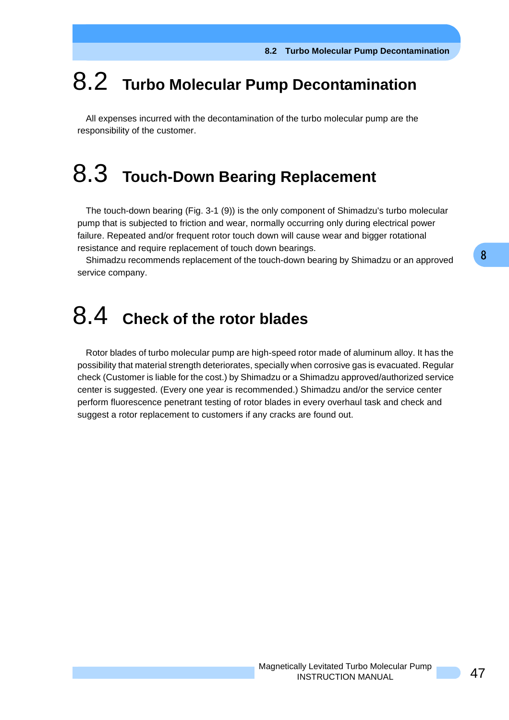# 8.2 **Turbo Molecular Pump Decontamination**

All expenses incurred with the decontamination of the turbo molecular pump are the responsibility of the customer.

# 8.3 **Touch-Down Bearing Replacement**

The touch-down bearing (Fig. 3-1 (9)) is the only component of Shimadzu's turbo molecular pump that is subjected to friction and wear, normally occurring only during electrical power failure. Repeated and/or frequent rotor touch down will cause wear and bigger rotational resistance and require replacement of touch down bearings.

Shimadzu recommends replacement of the touch-down bearing by Shimadzu or an approved service company.

# 8.4 **Check of the rotor blades**

Rotor blades of turbo molecular pump are high-speed rotor made of aluminum alloy. It has the possibility that material strength deteriorates, specially when corrosive gas is evacuated. Regular check (Customer is liable for the cost.) by Shimadzu or a Shimadzu approved/authorized service center is suggested. (Every one year is recommended.) Shimadzu and/or the service center perform fluorescence penetrant testing of rotor blades in every overhaul task and check and suggest a rotor replacement to customers if any cracks are found out.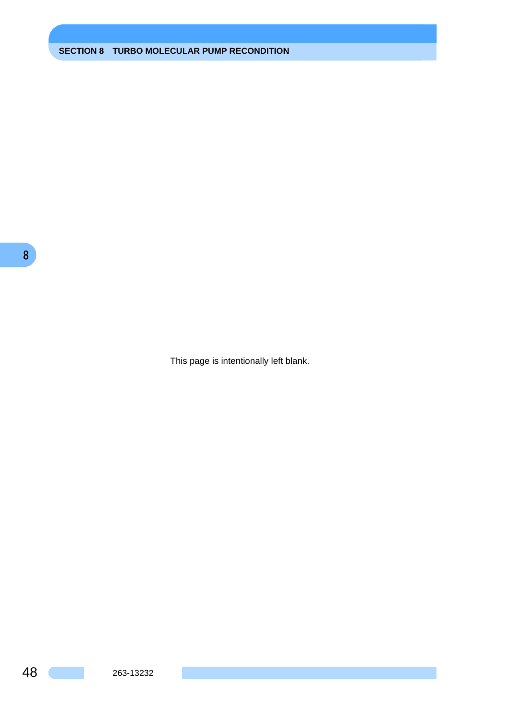#### **SECTION 8 TURBO MOLECULAR PUMP RECONDITION**

This page is intentionally left blank.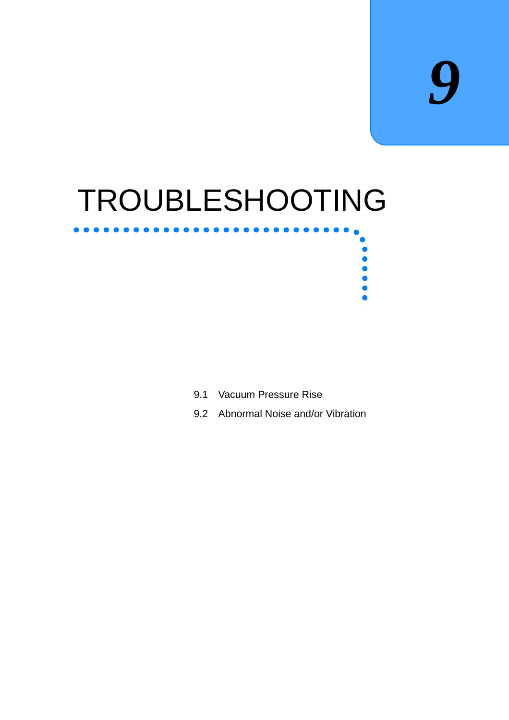*9*

# **TROUBLESHOOTING**

 $\bullet\bullet\bullet$ 

- 9.1 Vacuum Pressure Rise
- 9.2 Abnormal Noise and/or Vibration

 $\bullet$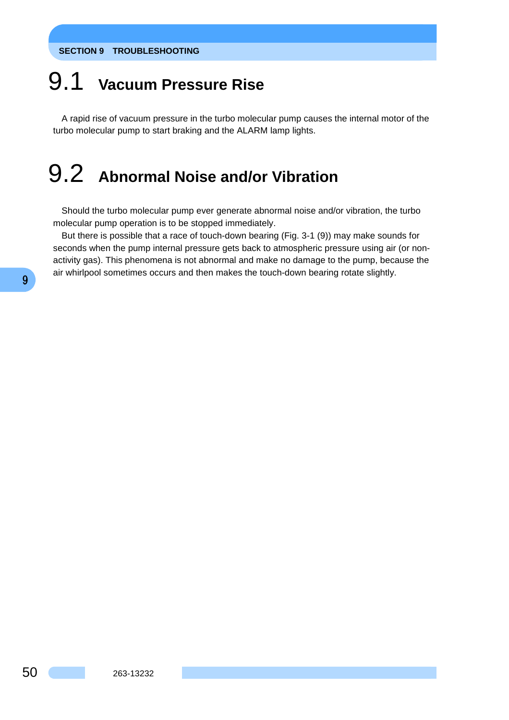**SECTION 9 TROUBLESHOOTING**

# 9.1 **Vacuum Pressure Rise**

A rapid rise of vacuum pressure in the turbo molecular pump causes the internal motor of the turbo molecular pump to start braking and the ALARM lamp lights.

# 9.2 **Abnormal Noise and/or Vibration**

Should the turbo molecular pump ever generate abnormal noise and/or vibration, the turbo molecular pump operation is to be stopped immediately.

But there is possible that a race of touch-down bearing (Fig. 3-1 (9)) may make sounds for seconds when the pump internal pressure gets back to atmospheric pressure using air (or nonactivity gas). This phenomena is not abnormal and make no damage to the pump, because the air whirlpool sometimes occurs and then makes the touch-down bearing rotate slightly.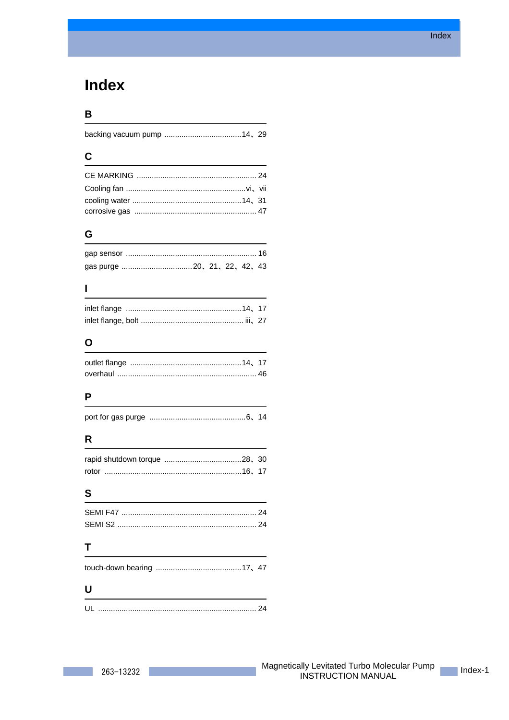### **Index**

#### $\, {\bf B}$

#### $\mathbf C$

#### G

#### $\mathbf I$

#### $\overline{O}$

#### P

#### $\overline{\mathsf{R}}$

#### S

| SEMI S2 |  |
|---------|--|

#### T

#### $\mathsf{U}$

**Contract Contract Contract**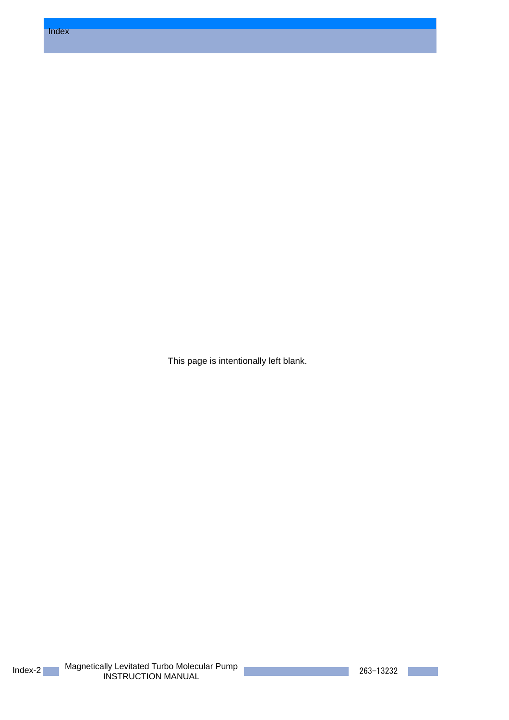This page is intentionally left blank.

**Contract Contract**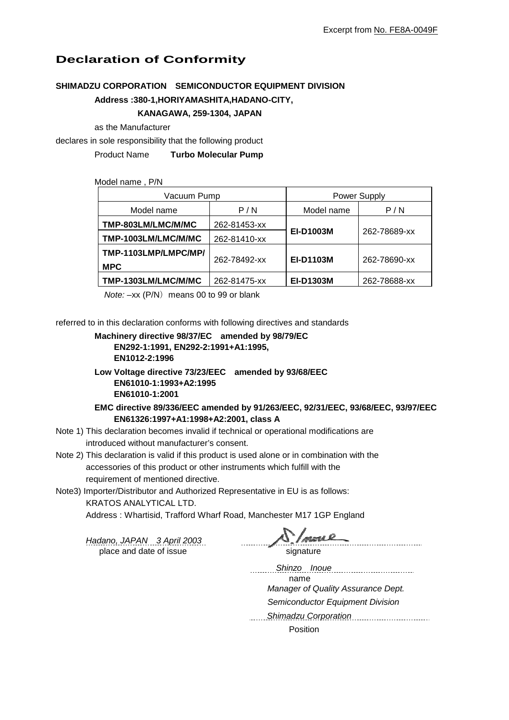#### **Declaration of Conformity**

#### **SHIMADZU CORPORATION SEMICONDUCTOR EQUIPMENT DIVISION**

 **Address :380-1,HORIYAMASHITA,HADANO-CITY,** 

#### **KANAGAWA, 259-1304, JAPAN**

as the Manufacturer

declares in sole responsibility that the following product

Product Name **Turbo Molecular Pump** 

Model name , P/N

| Vacuum Pump                        | Power Supply |                  |              |
|------------------------------------|--------------|------------------|--------------|
| Model name                         | P/N          | Model name       | P/N          |
| TMP-803LM/LMC/M/MC                 | 262-81453-xx | EI-D1003M        | 262-78689-xx |
| TMP-1003LM/LMC/M/MC                | 262-81410-xx |                  |              |
| TMP-1103LMP/LMPC/MP/<br><b>MPC</b> | 262-78492-xx | EI-D1103M        | 262-78690-xx |
| TMP-1303LM/LMC/M/MC                | 262-81475-xx | <b>EI-D1303M</b> | 262-78688-xx |

*Note:*  $-xx$  (P/N) means 00 to 99 or blank

referred to in this declaration conforms with following directives and standards

 **Machinery directive 98/37/EC amended by 98/79/EC EN292-1:1991, EN292-2:1991+A1:1995, EN1012-2:1996** 

 **Low Voltage directive 73/23/EEC amended by 93/68/EEC EN61010-1:1993+A2:1995 EN61010-1:2001** 

 **EMC directive 89/336/EEC amended by 91/263/EEC, 92/31/EEC, 93/68/EEC, 93/97/EEC EN61326:1997+A1:1998+A2:2001, class A**

Note 1) This declaration becomes invalid if technical or operational modifications are introduced without manufacturer's consent.

Note 2) This declaration is valid if this product is used alone or in combination with the accessories of this product or other instruments which fulfill with the requirement of mentioned directive.

Note3) Importer/Distributor and Authorized Representative in EU is as follows: KRATOS ANALYTICAL LTD.

Address : Whartisid, Trafford Wharf Road, Manchester M17 1GP England

 *Hadano, JAPAN 3 April 2003*  place and date of issue signature

 *Shinzo Inoue*  name in the contract of the contract of the contract of the contract of the contract of the contract of the contract of the contract of the contract of the contract of the contract of the contract of the contract of the co *Manager of Quality Assurance Dept. Semiconductor Equipment Division Shimadzu Corporation* **Position Position**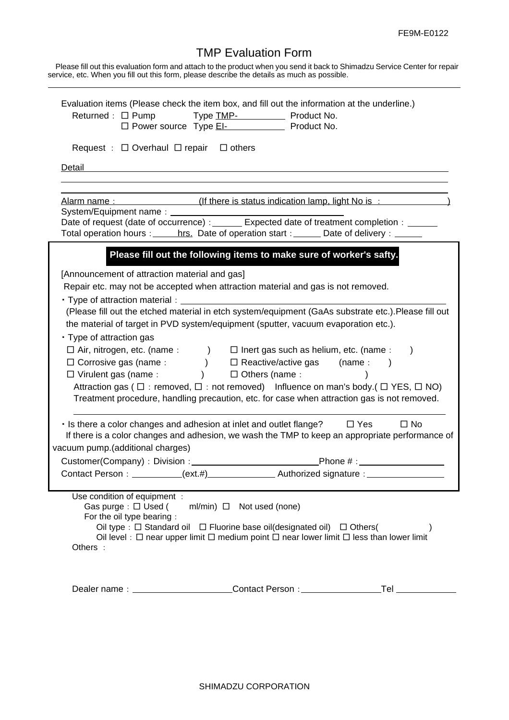#### TMP Evaluation Form

Please fill out this evaluation form and attach to the product when you send it back to Shimadzu Service Center for repair service, etc. When you fill out this form, please describe the details as much as possible.

 $\overline{a}$ 

| Evaluation items (Please check the item box, and fill out the information at the underline.)<br>Returned : □ Pump Type TMP- Product No.<br>□ Power source Type El-<br><sub> L</sub> Product No.                                                                                                                                                                                                                                                                                                                                                                                                                                                                                                                                                                                                    |
|----------------------------------------------------------------------------------------------------------------------------------------------------------------------------------------------------------------------------------------------------------------------------------------------------------------------------------------------------------------------------------------------------------------------------------------------------------------------------------------------------------------------------------------------------------------------------------------------------------------------------------------------------------------------------------------------------------------------------------------------------------------------------------------------------|
| Request : $\Box$ Overhaul $\Box$ repair $\Box$ others                                                                                                                                                                                                                                                                                                                                                                                                                                                                                                                                                                                                                                                                                                                                              |
| <b>Detail</b>                                                                                                                                                                                                                                                                                                                                                                                                                                                                                                                                                                                                                                                                                                                                                                                      |
|                                                                                                                                                                                                                                                                                                                                                                                                                                                                                                                                                                                                                                                                                                                                                                                                    |
| Alarm name: (If there is status indication lamp, light No is :                                                                                                                                                                                                                                                                                                                                                                                                                                                                                                                                                                                                                                                                                                                                     |
| Date of request (date of occurrence) : ______ Expected date of treatment completion : ______<br>Total operation hours : _____hrs. Date of operation start : ______ Date of delivery:______                                                                                                                                                                                                                                                                                                                                                                                                                                                                                                                                                                                                         |
| Please fill out the following items to make sure of worker's safty.                                                                                                                                                                                                                                                                                                                                                                                                                                                                                                                                                                                                                                                                                                                                |
| [Announcement of attraction material and gas]<br>Repair etc. may not be accepted when attraction material and gas is not removed.<br>(Please fill out the etched material in etch system/equipment (GaAs substrate etc.). Please fill out<br>the material of target in PVD system/equipment (sputter, vacuum evaporation etc.).<br>• Type of attraction gas<br>$\Box$ Air, nitrogen, etc. (name : ) $\Box$ Inert gas such as helium, etc. (name : )<br>$\square$ Corrosive gas (name : $\square$ Reactive/active gas (name : )<br>$\Box$ Virulent gas (name : $\Box$ Others (name : )<br>Attraction gas ( $\Box$ : removed, $\Box$ : not removed) Influence on man's body. ( $\Box$ YES, $\Box$ NO)<br>Treatment procedure, handling precaution, etc. for case when attraction gas is not removed. |
| $\cdot$ Is there a color changes and adhesion at inlet and outlet flange? $\Box$ Yes<br>$\square$ No<br>If there is a color changes and adhesion, we wash the TMP to keep an appropriate performance of<br>vacuum pump.(additional charges)                                                                                                                                                                                                                                                                                                                                                                                                                                                                                                                                                        |
| Authorized signature :<br>Contact Person: _________(ext.#)                                                                                                                                                                                                                                                                                                                                                                                                                                                                                                                                                                                                                                                                                                                                         |
| Use condition of equipment :<br>Gas purge : □ Used (<br>ml/min) $\Box$ Not used (none)<br>For the oil type bearing:<br>Oil type : $\Box$ Standard oil $\Box$ Fluorine base oil(designated oil) $\Box$ Others(<br>Oil level : $\Box$ near upper limit $\Box$ medium point $\Box$ near lower limit $\Box$ less than lower limit<br>Others :                                                                                                                                                                                                                                                                                                                                                                                                                                                          |
| Contact Person: ________________<br><b>Tel</b>                                                                                                                                                                                                                                                                                                                                                                                                                                                                                                                                                                                                                                                                                                                                                     |